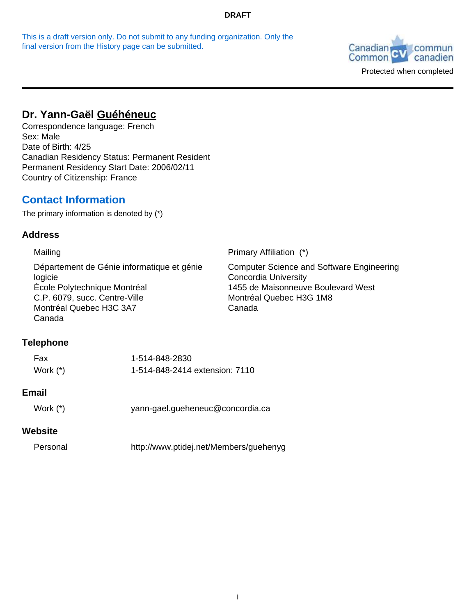This is a draft version only. Do not submit to any funding organization. Only the final version from the History page can be submitted.



# **Dr. Yann-Gaël Guéhéneuc**

Correspondence language: French Sex: Male Date of Birth: 4/25 Canadian Residency Status: Permanent Resident Permanent Residency Start Date: 2006/02/11 Country of Citizenship: France

# **Contact Information**

The primary information is denoted by (\*)

## **Address**

Mailing Mailing Primary Affiliation (\*) Département de Génie informatique et génie logicie École Polytechnique Montréal C.P. 6079, succ. Centre-Ville Montréal Quebec H3C 3A7 Canada Computer Science and Software Engineering Concordia University 1455 de Maisonneuve Boulevard West Montréal Quebec H3G 1M8 Canada

## **Telephone**

| Fax        | 1-514-848-2830                 |
|------------|--------------------------------|
| Work $(*)$ | 1-514-848-2414 extension: 7110 |

### **Email**

| Work (*) | yann-gael.gueheneuc@concordia.ca |
|----------|----------------------------------|
|----------|----------------------------------|

## **Website**

| Personal | http://www.ptidej.net/Members/guehenyg |  |
|----------|----------------------------------------|--|
|----------|----------------------------------------|--|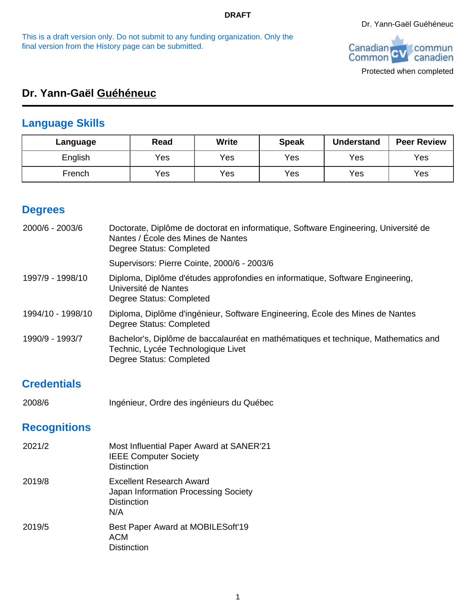This is a draft version only. Do not submit to any funding organization. Only the final version from the History page can be submitted.



Protected when completed

# **Dr. Yann-Gaël Guéhéneuc**

# **Language Skills**

| Language | Read | <b>Write</b> | <b>Speak</b> | <b>Understand</b> | <b>Peer Review</b> |
|----------|------|--------------|--------------|-------------------|--------------------|
| English  | Yes  | Yes          | Yes          | Yes               | Yes                |
| French   | Yes  | Yes          | Yes          | Yes               | Yes                |

# **Degrees**

| 2000/6 - 2003/6     | Doctorate, Diplôme de doctorat en informatique, Software Engineering, Université de<br>Nantes / École des Mines de Nantes<br>Degree Status: Completed |
|---------------------|-------------------------------------------------------------------------------------------------------------------------------------------------------|
|                     | Supervisors: Pierre Cointe, 2000/6 - 2003/6                                                                                                           |
| 1997/9 - 1998/10    | Diploma, Diplôme d'études approfondies en informatique, Software Engineering,<br>Université de Nantes<br>Degree Status: Completed                     |
| 1994/10 - 1998/10   | Diploma, Diplôme d'ingénieur, Software Engineering, École des Mines de Nantes<br>Degree Status: Completed                                             |
| 1990/9 - 1993/7     | Bachelor's, Diplôme de baccalauréat en mathématiques et technique, Mathematics and<br>Technic, Lycée Technologique Livet<br>Degree Status: Completed  |
| <b>Credentials</b>  |                                                                                                                                                       |
| 2008/6              | Ingénieur, Ordre des ingénieurs du Québec                                                                                                             |
| <b>Recognitions</b> |                                                                                                                                                       |
| 2021/2              | Most Influential Paper Award at SANER'21<br><b>IEEE Computer Society</b><br><b>Distinction</b>                                                        |
| 2019/8              | <b>Excellent Research Award</b><br>Japan Information Processing Society<br><b>Distinction</b><br>N/A                                                  |
| 2019/5              | Best Paper Award at MOBILES oft'19<br><b>ACM</b><br><b>Distinction</b>                                                                                |
|                     |                                                                                                                                                       |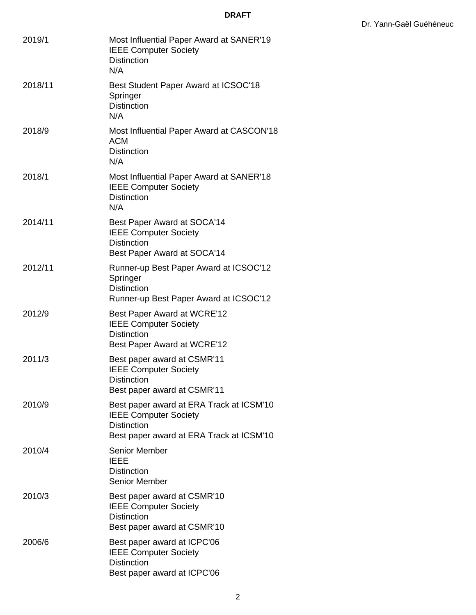| 2019/1  | Most Influential Paper Award at SANER'19<br><b>IEEE Computer Society</b><br><b>Distinction</b><br>N/A                                      |
|---------|--------------------------------------------------------------------------------------------------------------------------------------------|
| 2018/11 | Best Student Paper Award at ICSOC'18<br>Springer<br><b>Distinction</b><br>N/A                                                              |
| 2018/9  | Most Influential Paper Award at CASCON'18<br><b>ACM</b><br><b>Distinction</b><br>N/A                                                       |
| 2018/1  | Most Influential Paper Award at SANER'18<br><b>IEEE Computer Society</b><br><b>Distinction</b><br>N/A                                      |
| 2014/11 | Best Paper Award at SOCA'14<br><b>IEEE Computer Society</b><br><b>Distinction</b><br>Best Paper Award at SOCA'14                           |
| 2012/11 | Runner-up Best Paper Award at ICSOC'12<br>Springer<br><b>Distinction</b><br>Runner-up Best Paper Award at ICSOC'12                         |
| 2012/9  | Best Paper Award at WCRE'12<br><b>IEEE Computer Society</b><br><b>Distinction</b><br>Best Paper Award at WCRE'12                           |
| 2011/3  | Best paper award at CSMR'11<br><b>IEEE Computer Society</b><br><b>Distinction</b><br>Best paper award at CSMR'11                           |
| 2010/9  | Best paper award at ERA Track at ICSM'10<br><b>IEEE Computer Society</b><br><b>Distinction</b><br>Best paper award at ERA Track at ICSM'10 |
| 2010/4  | <b>Senior Member</b><br><b>IEEE</b><br><b>Distinction</b><br><b>Senior Member</b>                                                          |
| 2010/3  | Best paper award at CSMR'10<br><b>IEEE Computer Society</b><br><b>Distinction</b><br>Best paper award at CSMR'10                           |
| 2006/6  | Best paper award at ICPC'06<br><b>IEEE Computer Society</b><br><b>Distinction</b><br>Best paper award at ICPC'06                           |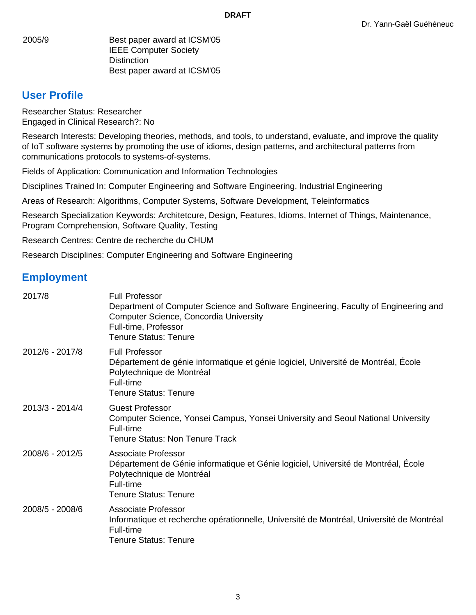| 2005/9 | Best paper award at ICSM'05  |
|--------|------------------------------|
|        | <b>IEEE Computer Society</b> |
|        | <b>Distinction</b>           |
|        | Best paper award at ICSM'05  |

# **User Profile**

Researcher Status: Researcher Engaged in Clinical Research?: No

Research Interests: Developing theories, methods, and tools, to understand, evaluate, and improve the quality of IoT software systems by promoting the use of idioms, design patterns, and architectural patterns from communications protocols to systems-of-systems.

Fields of Application: Communication and Information Technologies

Disciplines Trained In: Computer Engineering and Software Engineering, Industrial Engineering

Areas of Research: Algorithms, Computer Systems, Software Development, Teleinformatics

Research Specialization Keywords: Architetcure, Design, Features, Idioms, Internet of Things, Maintenance, Program Comprehension, Software Quality, Testing

Research Centres: Centre de recherche du CHUM

Research Disciplines: Computer Engineering and Software Engineering

# **Employment**

| 2017/8            | <b>Full Professor</b><br>Department of Computer Science and Software Engineering, Faculty of Engineering and<br><b>Computer Science, Concordia University</b><br>Full-time, Professor<br><b>Tenure Status: Tenure</b> |
|-------------------|-----------------------------------------------------------------------------------------------------------------------------------------------------------------------------------------------------------------------|
| $2012/6 - 2017/8$ | <b>Full Professor</b><br>Département de génie informatique et génie logiciel, Université de Montréal, École<br>Polytechnique de Montréal<br>Full-time<br><b>Tenure Status: Tenure</b>                                 |
| 2013/3 - 2014/4   | <b>Guest Professor</b><br>Computer Science, Yonsei Campus, Yonsei University and Seoul National University<br>Full-time<br><b>Tenure Status: Non Tenure Track</b>                                                     |
| 2008/6 - 2012/5   | Associate Professor<br>Département de Génie informatique et Génie logiciel, Université de Montréal, École<br>Polytechnique de Montréal<br>Full-time<br><b>Tenure Status: Tenure</b>                                   |
| 2008/5 - 2008/6   | <b>Associate Professor</b><br>Informatique et recherche opérationnelle, Université de Montréal, Université de Montréal<br>Full-time<br><b>Tenure Status: Tenure</b>                                                   |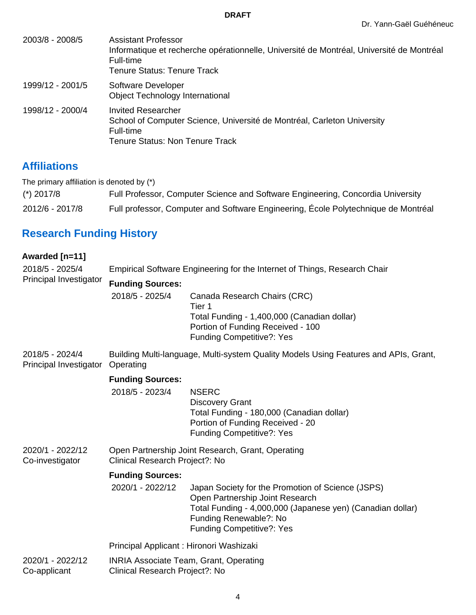2003/8 - 2008/5 Assistant Professor

|                                                     | Full-time<br><b>Tenure Status: Tenure Track</b>                                                                                                             | Informatique et recherche opérationnelle, Université de Montréal, Université de Montréal                                                                                                                         |
|-----------------------------------------------------|-------------------------------------------------------------------------------------------------------------------------------------------------------------|------------------------------------------------------------------------------------------------------------------------------------------------------------------------------------------------------------------|
| 1999/12 - 2001/5                                    | Software Developer<br><b>Object Technology International</b>                                                                                                |                                                                                                                                                                                                                  |
| 1998/12 - 2000/4                                    | <b>Invited Researcher</b><br>School of Computer Science, Université de Montréal, Carleton University<br>Full-time<br><b>Tenure Status: Non Tenure Track</b> |                                                                                                                                                                                                                  |
| <b>Affiliations</b>                                 |                                                                                                                                                             |                                                                                                                                                                                                                  |
| The primary affiliation is denoted by (*)           |                                                                                                                                                             |                                                                                                                                                                                                                  |
| $(*)$ 2017/8                                        |                                                                                                                                                             | Full Professor, Computer Science and Software Engineering, Concordia University                                                                                                                                  |
| 2012/6 - 2017/8                                     |                                                                                                                                                             | Full professor, Computer and Software Engineering, École Polytechnique de Montréal                                                                                                                               |
| <b>Research Funding History</b>                     |                                                                                                                                                             |                                                                                                                                                                                                                  |
| Awarded [n=11]<br>2018/5 - 2025/4                   | Empirical Software Engineering for the Internet of Things, Research Chair                                                                                   |                                                                                                                                                                                                                  |
| Principal Investigator                              | <b>Funding Sources:</b>                                                                                                                                     |                                                                                                                                                                                                                  |
|                                                     | 2018/5 - 2025/4                                                                                                                                             | Canada Research Chairs (CRC)<br>Tier 1<br>Total Funding - 1,400,000 (Canadian dollar)<br>Portion of Funding Received - 100<br><b>Funding Competitive?: Yes</b>                                                   |
| 2018/5 - 2024/4<br>Principal Investigator Operating |                                                                                                                                                             | Building Multi-language, Multi-system Quality Models Using Features and APIs, Grant,                                                                                                                             |
|                                                     | <b>Funding Sources:</b>                                                                                                                                     |                                                                                                                                                                                                                  |
|                                                     | 2018/5 - 2023/4                                                                                                                                             | <b>NSERC</b><br><b>Discovery Grant</b><br>Total Funding - 180,000 (Canadian dollar)<br>Portion of Funding Received - 20<br><b>Funding Competitive?: Yes</b>                                                      |
| 2020/1 - 2022/12<br>Co-investigator                 | Clinical Research Project?: No                                                                                                                              | Open Partnership Joint Research, Grant, Operating                                                                                                                                                                |
|                                                     | <b>Funding Sources:</b>                                                                                                                                     |                                                                                                                                                                                                                  |
|                                                     | 2020/1 - 2022/12                                                                                                                                            | Japan Society for the Promotion of Science (JSPS)<br>Open Partnership Joint Research<br>Total Funding - 4,000,000 (Japanese yen) (Canadian dollar)<br>Funding Renewable?: No<br><b>Funding Competitive?: Yes</b> |
|                                                     | Principal Applicant: Hironori Washizaki                                                                                                                     |                                                                                                                                                                                                                  |
| 2020/1 - 2022/12<br>Co-applicant                    | <b>INRIA Associate Team, Grant, Operating</b><br>Clinical Research Project?: No                                                                             |                                                                                                                                                                                                                  |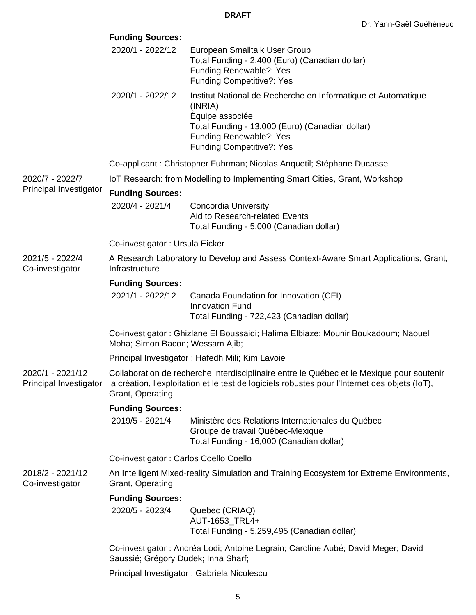|                                     | <b>Funding Sources:</b>                                                                                                                                                                                                                |                                                                                                                                                                                                               |
|-------------------------------------|----------------------------------------------------------------------------------------------------------------------------------------------------------------------------------------------------------------------------------------|---------------------------------------------------------------------------------------------------------------------------------------------------------------------------------------------------------------|
|                                     | 2020/1 - 2022/12                                                                                                                                                                                                                       | European Smalltalk User Group<br>Total Funding - 2,400 (Euro) (Canadian dollar)<br>Funding Renewable?: Yes<br><b>Funding Competitive?: Yes</b>                                                                |
|                                     | 2020/1 - 2022/12                                                                                                                                                                                                                       | Institut National de Recherche en Informatique et Automatique<br>(INRIA)<br>Équipe associée<br>Total Funding - 13,000 (Euro) (Canadian dollar)<br>Funding Renewable?: Yes<br><b>Funding Competitive?: Yes</b> |
|                                     |                                                                                                                                                                                                                                        | Co-applicant : Christopher Fuhrman; Nicolas Anquetil; Stéphane Ducasse                                                                                                                                        |
| 2020/7 - 2022/7                     |                                                                                                                                                                                                                                        | IoT Research: from Modelling to Implementing Smart Cities, Grant, Workshop                                                                                                                                    |
| Principal Investigator              | <b>Funding Sources:</b>                                                                                                                                                                                                                |                                                                                                                                                                                                               |
|                                     | 2020/4 - 2021/4                                                                                                                                                                                                                        | <b>Concordia University</b><br>Aid to Research-related Events<br>Total Funding - 5,000 (Canadian dollar)                                                                                                      |
|                                     | Co-investigator: Ursula Eicker                                                                                                                                                                                                         |                                                                                                                                                                                                               |
| 2021/5 - 2022/4<br>Co-investigator  | Infrastructure                                                                                                                                                                                                                         | A Research Laboratory to Develop and Assess Context-Aware Smart Applications, Grant,                                                                                                                          |
|                                     | <b>Funding Sources:</b><br>2021/1 - 2022/12                                                                                                                                                                                            | Canada Foundation for Innovation (CFI)<br><b>Innovation Fund</b><br>Total Funding - 722,423 (Canadian dollar)                                                                                                 |
|                                     | Moha; Simon Bacon; Wessam Ajib;                                                                                                                                                                                                        | Co-investigator : Ghizlane El Boussaidi; Halima Elbiaze; Mounir Boukadoum; Naouel                                                                                                                             |
|                                     |                                                                                                                                                                                                                                        | Principal Investigator: Hafedh Mili; Kim Lavoie                                                                                                                                                               |
| 2020/1 - 2021/12                    | Collaboration de recherche interdisciplinaire entre le Québec et le Mexique pour soutenir<br>Principal Investigator la création, l'exploitation et le test de logiciels robustes pour l'Internet des objets (IoT),<br>Grant, Operating |                                                                                                                                                                                                               |
|                                     | <b>Funding Sources:</b>                                                                                                                                                                                                                |                                                                                                                                                                                                               |
|                                     | 2019/5 - 2021/4                                                                                                                                                                                                                        | Ministère des Relations Internationales du Québec<br>Groupe de travail Québec-Mexique<br>Total Funding - 16,000 (Canadian dollar)                                                                             |
|                                     | Co-investigator: Carlos Coello Coello                                                                                                                                                                                                  |                                                                                                                                                                                                               |
| 2018/2 - 2021/12<br>Co-investigator | Grant, Operating                                                                                                                                                                                                                       | An Intelligent Mixed-reality Simulation and Training Ecosystem for Extreme Environments,                                                                                                                      |
|                                     | <b>Funding Sources:</b><br>2020/5 - 2023/4                                                                                                                                                                                             | Quebec (CRIAQ)<br>AUT-1653_TRL4+<br>Total Funding - 5,259,495 (Canadian dollar)                                                                                                                               |
|                                     | Saussié; Grégory Dudek; Inna Sharf;                                                                                                                                                                                                    | Co-investigator : Andréa Lodi; Antoine Legrain; Caroline Aubé; David Meger; David                                                                                                                             |

Principal Investigator : Gabriela Nicolescu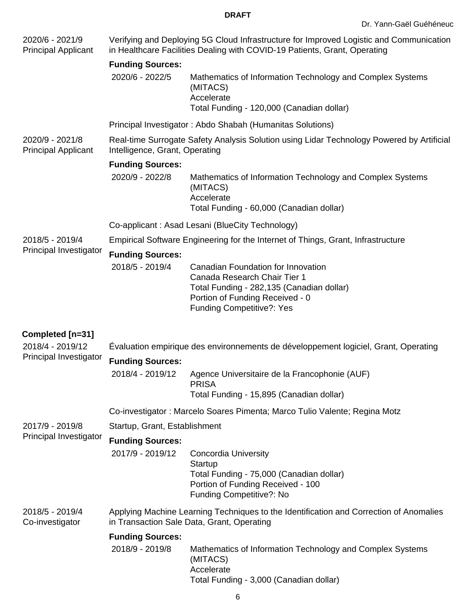| 2020/6 - 2021/9<br><b>Principal Applicant</b> | Verifying and Deploying 5G Cloud Infrastructure for Improved Logistic and Communication<br>in Healthcare Facilities Dealing with COVID-19 Patients, Grant, Operating |                                                                                                                                                                                        |  |
|-----------------------------------------------|----------------------------------------------------------------------------------------------------------------------------------------------------------------------|----------------------------------------------------------------------------------------------------------------------------------------------------------------------------------------|--|
|                                               | <b>Funding Sources:</b>                                                                                                                                              |                                                                                                                                                                                        |  |
|                                               | 2020/6 - 2022/5                                                                                                                                                      | Mathematics of Information Technology and Complex Systems<br>(MITACS)<br>Accelerate<br>Total Funding - 120,000 (Canadian dollar)                                                       |  |
|                                               |                                                                                                                                                                      | Principal Investigator: Abdo Shabah (Humanitas Solutions)                                                                                                                              |  |
| 2020/9 - 2021/8                               |                                                                                                                                                                      | Real-time Surrogate Safety Analysis Solution using Lidar Technology Powered by Artificial                                                                                              |  |
| <b>Principal Applicant</b>                    | Intelligence, Grant, Operating                                                                                                                                       |                                                                                                                                                                                        |  |
|                                               | <b>Funding Sources:</b>                                                                                                                                              |                                                                                                                                                                                        |  |
|                                               | 2020/9 - 2022/8                                                                                                                                                      | Mathematics of Information Technology and Complex Systems<br>(MITACS)<br>Accelerate<br>Total Funding - 60,000 (Canadian dollar)                                                        |  |
|                                               |                                                                                                                                                                      | Co-applicant: Asad Lesani (BlueCity Technology)                                                                                                                                        |  |
| 2018/5 - 2019/4                               |                                                                                                                                                                      | Empirical Software Engineering for the Internet of Things, Grant, Infrastructure                                                                                                       |  |
| Principal Investigator                        | <b>Funding Sources:</b>                                                                                                                                              |                                                                                                                                                                                        |  |
|                                               | 2018/5 - 2019/4                                                                                                                                                      | Canadian Foundation for Innovation<br>Canada Research Chair Tier 1<br>Total Funding - 282,135 (Canadian dollar)<br>Portion of Funding Received - 0<br><b>Funding Competitive?: Yes</b> |  |
| Completed [n=31]                              |                                                                                                                                                                      |                                                                                                                                                                                        |  |
| 2018/4 - 2019/12                              |                                                                                                                                                                      | Evaluation empirique des environnements de développement logiciel, Grant, Operating                                                                                                    |  |
| Principal Investigator                        | <b>Funding Sources:</b>                                                                                                                                              |                                                                                                                                                                                        |  |
|                                               | 2018/4 - 2019/12                                                                                                                                                     | Agence Universitaire de la Francophonie (AUF)<br><b>PRISA</b>                                                                                                                          |  |
|                                               |                                                                                                                                                                      | Total Funding - 15,895 (Canadian dollar)                                                                                                                                               |  |
|                                               |                                                                                                                                                                      | Co-investigator: Marcelo Soares Pimenta; Marco Tulio Valente; Regina Motz                                                                                                              |  |
| 2017/9 - 2019/8                               | Startup, Grant, Establishment                                                                                                                                        |                                                                                                                                                                                        |  |
| Principal Investigator                        | <b>Funding Sources:</b>                                                                                                                                              |                                                                                                                                                                                        |  |
|                                               | 2017/9 - 2019/12                                                                                                                                                     | <b>Concordia University</b><br>Startup<br>Total Funding - 75,000 (Canadian dollar)<br>Portion of Funding Received - 100<br><b>Funding Competitive?: No</b>                             |  |
| 2018/5 - 2019/4<br>Co-investigator            |                                                                                                                                                                      | Applying Machine Learning Techniques to the Identification and Correction of Anomalies<br>in Transaction Sale Data, Grant, Operating                                                   |  |
|                                               | <b>Funding Sources:</b>                                                                                                                                              |                                                                                                                                                                                        |  |
|                                               | 2018/9 - 2019/8                                                                                                                                                      | Mathematics of Information Technology and Complex Systems<br>(MITACS)<br>Accelerate<br>Total Funding - 3,000 (Canadian dollar)                                                         |  |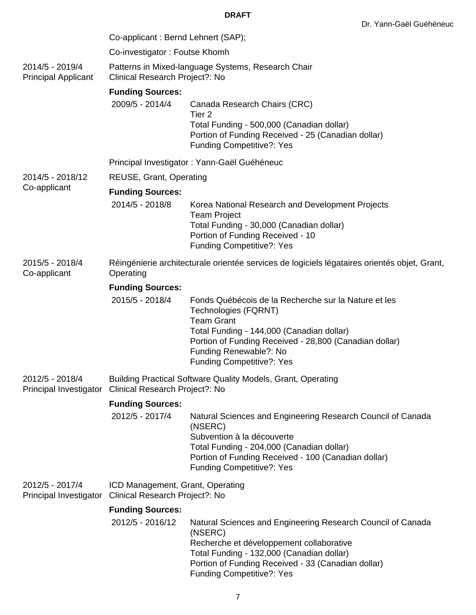|                                               | Co-applicant: Bernd Lehnert (SAP);                                                   |                                                                                                                                                                                                                                                                        |
|-----------------------------------------------|--------------------------------------------------------------------------------------|------------------------------------------------------------------------------------------------------------------------------------------------------------------------------------------------------------------------------------------------------------------------|
|                                               | Co-investigator: Foutse Khomh                                                        |                                                                                                                                                                                                                                                                        |
| 2014/5 - 2019/4<br><b>Principal Applicant</b> | Patterns in Mixed-language Systems, Research Chair<br>Clinical Research Project?: No |                                                                                                                                                                                                                                                                        |
|                                               | <b>Funding Sources:</b>                                                              |                                                                                                                                                                                                                                                                        |
|                                               | 2009/5 - 2014/4                                                                      | Canada Research Chairs (CRC)<br>Tier 2<br>Total Funding - 500,000 (Canadian dollar)<br>Portion of Funding Received - 25 (Canadian dollar)<br><b>Funding Competitive?: Yes</b>                                                                                          |
|                                               |                                                                                      | Principal Investigator: Yann-Gaël Guéhéneuc                                                                                                                                                                                                                            |
| 2014/5 - 2018/12                              | <b>REUSE, Grant, Operating</b>                                                       |                                                                                                                                                                                                                                                                        |
| Co-applicant                                  | <b>Funding Sources:</b>                                                              |                                                                                                                                                                                                                                                                        |
|                                               | 2014/5 - 2018/8                                                                      | Korea National Research and Development Projects<br><b>Team Project</b><br>Total Funding - 30,000 (Canadian dollar)<br>Portion of Funding Received - 10<br><b>Funding Competitive?: Yes</b>                                                                            |
| 2015/5 - 2018/4<br>Co-applicant               | Operating                                                                            | Réingénierie architecturale orientée services de logiciels légataires orientés objet, Grant,                                                                                                                                                                           |
|                                               | <b>Funding Sources:</b>                                                              |                                                                                                                                                                                                                                                                        |
|                                               | 2015/5 - 2018/4                                                                      | Fonds Québécois de la Recherche sur la Nature et les<br>Technologies (FQRNT)<br><b>Team Grant</b><br>Total Funding - 144,000 (Canadian dollar)<br>Portion of Funding Received - 28,800 (Canadian dollar)<br>Funding Renewable?: No<br><b>Funding Competitive?: Yes</b> |
| 2012/5 - 2018/4<br>Principal Investigator     | Clinical Research Project?: No                                                       | Building Practical Software Quality Models, Grant, Operating                                                                                                                                                                                                           |
|                                               | <b>Funding Sources:</b>                                                              |                                                                                                                                                                                                                                                                        |
|                                               | 2012/5 - 2017/4                                                                      | Natural Sciences and Engineering Research Council of Canada<br>(NSERC)<br>Subvention à la découverte<br>Total Funding - 204,000 (Canadian dollar)<br>Portion of Funding Received - 100 (Canadian dollar)<br><b>Funding Competitive?: Yes</b>                           |
| 2012/5 - 2017/4<br>Principal Investigator     | ICD Management, Grant, Operating<br>Clinical Research Project?: No                   |                                                                                                                                                                                                                                                                        |
|                                               | <b>Funding Sources:</b>                                                              |                                                                                                                                                                                                                                                                        |
|                                               | 2012/5 - 2016/12                                                                     | Natural Sciences and Engineering Research Council of Canada<br>(NSERC)<br>Recherche et développement collaborative<br>Total Funding - 132,000 (Canadian dollar)<br>Portion of Funding Received - 33 (Canadian dollar)<br><b>Funding Competitive?: Yes</b>              |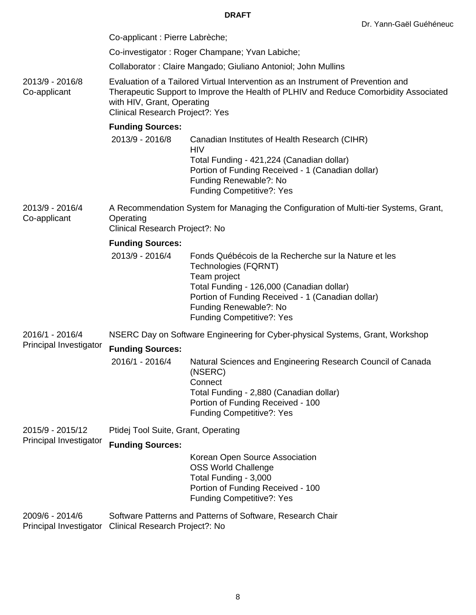|                                 |                                                                      | <b>DRAFT</b>                                                                                                                                                                                                                                                        | Dr. Yann-Gaël Guéhéneu |
|---------------------------------|----------------------------------------------------------------------|---------------------------------------------------------------------------------------------------------------------------------------------------------------------------------------------------------------------------------------------------------------------|------------------------|
|                                 | Co-applicant : Pierre Labrèche;                                      |                                                                                                                                                                                                                                                                     |                        |
|                                 |                                                                      | Co-investigator: Roger Champane; Yvan Labiche;                                                                                                                                                                                                                      |                        |
|                                 |                                                                      | Collaborator: Claire Mangado; Giuliano Antoniol; John Mullins                                                                                                                                                                                                       |                        |
| 2013/9 - 2016/8<br>Co-applicant | with HIV, Grant, Operating<br><b>Clinical Research Project?: Yes</b> | Evaluation of a Tailored Virtual Intervention as an Instrument of Prevention and<br>Therapeutic Support to Improve the Health of PLHIV and Reduce Comorbidity Associated                                                                                            |                        |
|                                 | <b>Funding Sources:</b>                                              |                                                                                                                                                                                                                                                                     |                        |
|                                 | 2013/9 - 2016/8                                                      | Canadian Institutes of Health Research (CIHR)<br><b>HIV</b>                                                                                                                                                                                                         |                        |
|                                 |                                                                      | Total Funding - 421,224 (Canadian dollar)<br>Portion of Funding Received - 1 (Canadian dollar)<br>Funding Renewable?: No<br><b>Funding Competitive?: Yes</b>                                                                                                        |                        |
| 2013/9 - 2016/4<br>Co-applicant | Operating<br>Clinical Research Project?: No                          | A Recommendation System for Managing the Configuration of Multi-tier Systems, Grant,                                                                                                                                                                                |                        |
|                                 | <b>Funding Sources:</b>                                              |                                                                                                                                                                                                                                                                     |                        |
|                                 | 2013/9 - 2016/4                                                      | Fonds Québécois de la Recherche sur la Nature et les<br><b>Technologies (FQRNT)</b><br>Team project<br>Total Funding - 126,000 (Canadian dollar)<br>Portion of Funding Received - 1 (Canadian dollar)<br>Funding Renewable?: No<br><b>Funding Competitive?: Yes</b> |                        |
| 2016/1 - 2016/4                 |                                                                      | NSERC Day on Software Engineering for Cyber-physical Systems, Grant, Workshop                                                                                                                                                                                       |                        |
| Principal Investigator          | <b>Funding Sources:</b>                                              |                                                                                                                                                                                                                                                                     |                        |
|                                 | 2016/1 - 2016/4                                                      | Natural Sciences and Engineering Research Council of Canada<br>(NSERC)<br>Connect<br>Total Funding - 2,880 (Canadian dollar)<br>Portion of Funding Received - 100<br><b>Funding Competitive?: Yes</b>                                                               |                        |
| 2015/9 - 2015/12                | Ptidej Tool Suite, Grant, Operating                                  |                                                                                                                                                                                                                                                                     |                        |
| Principal Investigator          | <b>Funding Sources:</b>                                              |                                                                                                                                                                                                                                                                     |                        |
|                                 |                                                                      | Korean Open Source Association<br><b>OSS World Challenge</b>                                                                                                                                                                                                        |                        |

Total Funding - 3,000 Portion of Funding Received - 100 Funding Competitive?: Yes

2009/6 - 2014/6 Principal Investigator Clinical Research Project?: NoSoftware Patterns and Patterns of Software, Research Chair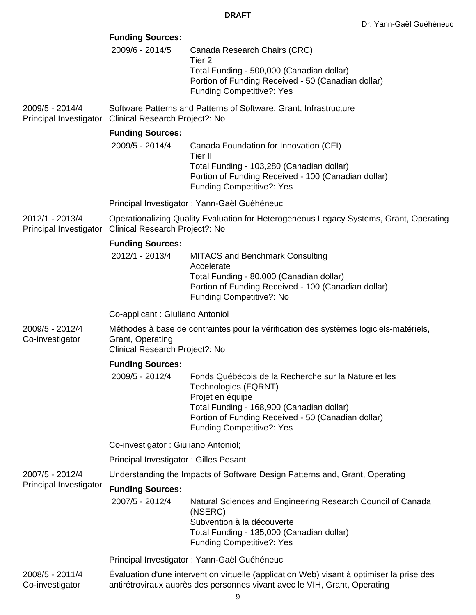|                                           |                                                                             | <b>Funding Sources:</b>                                                                                                                                                               |                                                                                                                                                                                                                                         |
|-------------------------------------------|-----------------------------------------------------------------------------|---------------------------------------------------------------------------------------------------------------------------------------------------------------------------------------|-----------------------------------------------------------------------------------------------------------------------------------------------------------------------------------------------------------------------------------------|
|                                           |                                                                             | 2009/6 - 2014/5                                                                                                                                                                       | Canada Research Chairs (CRC)<br>Tier <sub>2</sub><br>Total Funding - 500,000 (Canadian dollar)<br>Portion of Funding Received - 50 (Canadian dollar)<br><b>Funding Competitive?: Yes</b>                                                |
|                                           | 2009/5 - 2014/4<br>Principal Investigator                                   | Clinical Research Project?: No                                                                                                                                                        | Software Patterns and Patterns of Software, Grant, Infrastructure                                                                                                                                                                       |
|                                           |                                                                             | <b>Funding Sources:</b>                                                                                                                                                               |                                                                                                                                                                                                                                         |
|                                           |                                                                             | 2009/5 - 2014/4                                                                                                                                                                       | Canada Foundation for Innovation (CFI)<br>Tier II<br>Total Funding - 103,280 (Canadian dollar)<br>Portion of Funding Received - 100 (Canadian dollar)<br><b>Funding Competitive?: Yes</b>                                               |
|                                           |                                                                             |                                                                                                                                                                                       | Principal Investigator: Yann-Gaël Guéhéneuc                                                                                                                                                                                             |
|                                           | 2012/1 - 2013/4<br>Principal Investigator                                   | Clinical Research Project?: No                                                                                                                                                        | Operationalizing Quality Evaluation for Heterogeneous Legacy Systems, Grant, Operating                                                                                                                                                  |
|                                           |                                                                             | <b>Funding Sources:</b>                                                                                                                                                               |                                                                                                                                                                                                                                         |
|                                           |                                                                             | 2012/1 - 2013/4                                                                                                                                                                       | <b>MITACS and Benchmark Consulting</b><br>Accelerate<br>Total Funding - 80,000 (Canadian dollar)<br>Portion of Funding Received - 100 (Canadian dollar)<br><b>Funding Competitive?: No</b>                                              |
|                                           |                                                                             | Co-applicant: Giuliano Antoniol                                                                                                                                                       |                                                                                                                                                                                                                                         |
|                                           | 2009/5 - 2012/4<br>Co-investigator                                          | Grant, Operating<br>Clinical Research Project?: No                                                                                                                                    | Méthodes à base de contraintes pour la vérification des systèmes logiciels-matériels,                                                                                                                                                   |
|                                           |                                                                             | <b>Funding Sources:</b>                                                                                                                                                               |                                                                                                                                                                                                                                         |
|                                           |                                                                             | 2009/5 - 2012/4                                                                                                                                                                       | Fonds Québécois de la Recherche sur la Nature et les<br>Technologies (FQRNT)<br>Projet en équipe<br>Total Funding - 168,900 (Canadian dollar)<br>Portion of Funding Received - 50 (Canadian dollar)<br><b>Funding Competitive?: Yes</b> |
|                                           |                                                                             | Co-investigator: Giuliano Antoniol;                                                                                                                                                   |                                                                                                                                                                                                                                         |
|                                           |                                                                             | Principal Investigator: Gilles Pesant                                                                                                                                                 |                                                                                                                                                                                                                                         |
| 2007/5 - 2012/4<br>Principal Investigator | Understanding the Impacts of Software Design Patterns and, Grant, Operating |                                                                                                                                                                                       |                                                                                                                                                                                                                                         |
|                                           |                                                                             | <b>Funding Sources:</b>                                                                                                                                                               |                                                                                                                                                                                                                                         |
|                                           | 2007/5 - 2012/4                                                             | Natural Sciences and Engineering Research Council of Canada<br>(NSERC)<br>Subvention à la découverte<br>Total Funding - 135,000 (Canadian dollar)<br><b>Funding Competitive?: Yes</b> |                                                                                                                                                                                                                                         |
|                                           |                                                                             |                                                                                                                                                                                       | Principal Investigator: Yann-Gaël Guéhéneuc                                                                                                                                                                                             |
|                                           | 2008/5 - 2011/4<br>Co-investigator                                          |                                                                                                                                                                                       | Évaluation d'une intervention virtuelle (application Web) visant à optimiser la prise des<br>antirétroviraux auprès des personnes vivant avec le VIH, Grant, Operating                                                                  |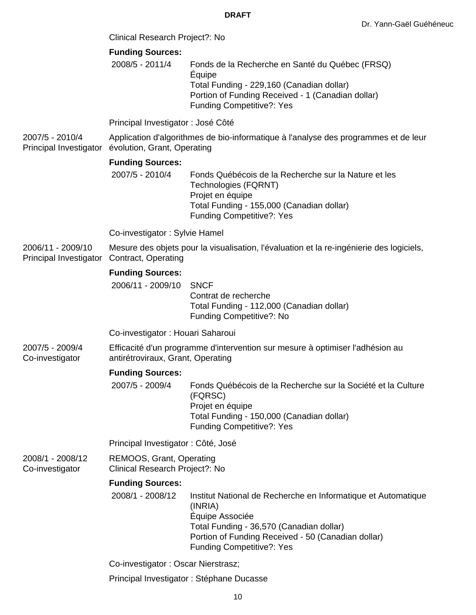|                                             | Clinical Research Project?: No                                                                                     |                                                                                                                                                                                                                                   |  |
|---------------------------------------------|--------------------------------------------------------------------------------------------------------------------|-----------------------------------------------------------------------------------------------------------------------------------------------------------------------------------------------------------------------------------|--|
|                                             | <b>Funding Sources:</b>                                                                                            |                                                                                                                                                                                                                                   |  |
|                                             | 2008/5 - 2011/4                                                                                                    | Fonds de la Recherche en Santé du Québec (FRSQ)<br><b>Équipe</b><br>Total Funding - 229,160 (Canadian dollar)<br>Portion of Funding Received - 1 (Canadian dollar)<br><b>Funding Competitive?: Yes</b>                            |  |
|                                             | Principal Investigator : José Côté                                                                                 |                                                                                                                                                                                                                                   |  |
| 2007/5 - 2010/4<br>Principal Investigator   | Application d'algorithmes de bio-informatique à l'analyse des programmes et de leur<br>évolution, Grant, Operating |                                                                                                                                                                                                                                   |  |
|                                             | <b>Funding Sources:</b>                                                                                            |                                                                                                                                                                                                                                   |  |
|                                             | 2007/5 - 2010/4                                                                                                    | Fonds Québécois de la Recherche sur la Nature et les<br>Technologies (FQRNT)<br>Projet en équipe<br>Total Funding - 155,000 (Canadian dollar)<br><b>Funding Competitive?: Yes</b>                                                 |  |
|                                             | Co-investigator: Sylvie Hamel                                                                                      |                                                                                                                                                                                                                                   |  |
| 2006/11 - 2009/10<br>Principal Investigator | Mesure des objets pour la visualisation, l'évaluation et la re-ingénierie des logiciels,<br>Contract, Operating    |                                                                                                                                                                                                                                   |  |
|                                             | <b>Funding Sources:</b>                                                                                            |                                                                                                                                                                                                                                   |  |
|                                             | 2006/11 - 2009/10                                                                                                  | <b>SNCF</b><br>Contrat de recherche<br>Total Funding - 112,000 (Canadian dollar)<br><b>Funding Competitive?: No</b>                                                                                                               |  |
|                                             | Co-investigator: Houari Saharoui                                                                                   |                                                                                                                                                                                                                                   |  |
| 2007/5 - 2009/4<br>Co-investigator          | Efficacité d'un programme d'intervention sur mesure à optimiser l'adhésion au<br>antirétroviraux, Grant, Operating |                                                                                                                                                                                                                                   |  |
|                                             | <b>Funding Sources:</b>                                                                                            |                                                                                                                                                                                                                                   |  |
|                                             | 2007/5 - 2009/4                                                                                                    | Fonds Québécois de la Recherche sur la Société et la Culture<br>(FQRSC)<br>Projet en équipe<br>Total Funding - 150,000 (Canadian dollar)<br><b>Funding Competitive?: Yes</b>                                                      |  |
|                                             | Principal Investigator: Côté, José                                                                                 |                                                                                                                                                                                                                                   |  |
| 2008/1 - 2008/12<br>Co-investigator         | REMOOS, Grant, Operating<br>Clinical Research Project?: No                                                         |                                                                                                                                                                                                                                   |  |
|                                             | <b>Funding Sources:</b>                                                                                            |                                                                                                                                                                                                                                   |  |
|                                             | 2008/1 - 2008/12                                                                                                   | Institut National de Recherche en Informatique et Automatique<br>(INRIA)<br>Équipe Associée<br>Total Funding - 36,570 (Canadian dollar)<br>Portion of Funding Received - 50 (Canadian dollar)<br><b>Funding Competitive?: Yes</b> |  |
|                                             | Co-investigator: Oscar Nierstrasz;                                                                                 |                                                                                                                                                                                                                                   |  |
|                                             |                                                                                                                    |                                                                                                                                                                                                                                   |  |

Principal Investigator : Stéphane Ducasse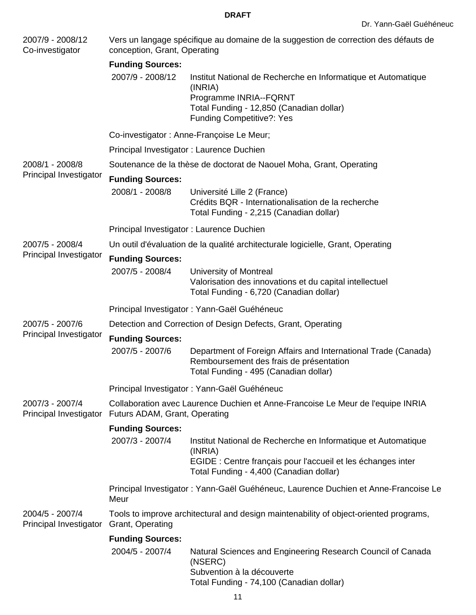| 2007/9 - 2008/12<br>Co-investigator       | Vers un langage spécifique au domaine de la suggestion de correction des défauts de<br>conception, Grant, Operating |                                                                                                                                                                                     |  |
|-------------------------------------------|---------------------------------------------------------------------------------------------------------------------|-------------------------------------------------------------------------------------------------------------------------------------------------------------------------------------|--|
|                                           | <b>Funding Sources:</b>                                                                                             |                                                                                                                                                                                     |  |
|                                           | 2007/9 - 2008/12                                                                                                    | Institut National de Recherche en Informatique et Automatique<br>(INRIA)<br>Programme INRIA--FQRNT<br>Total Funding - 12,850 (Canadian dollar)<br><b>Funding Competitive?: Yes</b>  |  |
|                                           |                                                                                                                     | Co-investigator: Anne-Françoise Le Meur;                                                                                                                                            |  |
|                                           |                                                                                                                     | Principal Investigator: Laurence Duchien                                                                                                                                            |  |
| 2008/1 - 2008/8                           | Soutenance de la thèse de doctorat de Naouel Moha, Grant, Operating                                                 |                                                                                                                                                                                     |  |
| Principal Investigator                    | <b>Funding Sources:</b>                                                                                             |                                                                                                                                                                                     |  |
|                                           | 2008/1 - 2008/8                                                                                                     | Université Lille 2 (France)<br>Crédits BQR - Internationalisation de la recherche<br>Total Funding - 2,215 (Canadian dollar)                                                        |  |
|                                           |                                                                                                                     | Principal Investigator: Laurence Duchien                                                                                                                                            |  |
| 2007/5 - 2008/4                           |                                                                                                                     | Un outil d'évaluation de la qualité architecturale logicielle, Grant, Operating                                                                                                     |  |
| Principal Investigator                    | <b>Funding Sources:</b>                                                                                             |                                                                                                                                                                                     |  |
|                                           | 2007/5 - 2008/4                                                                                                     | University of Montreal<br>Valorisation des innovations et du capital intellectuel<br>Total Funding - 6,720 (Canadian dollar)                                                        |  |
|                                           |                                                                                                                     | Principal Investigator: Yann-Gaël Guéhéneuc                                                                                                                                         |  |
| 2007/5 - 2007/6                           | Detection and Correction of Design Defects, Grant, Operating                                                        |                                                                                                                                                                                     |  |
| Principal Investigator                    | <b>Funding Sources:</b>                                                                                             |                                                                                                                                                                                     |  |
|                                           | 2007/5 - 2007/6                                                                                                     | Department of Foreign Affairs and International Trade (Canada)<br>Remboursement des frais de présentation<br>Total Funding - 495 (Canadian dollar)                                  |  |
|                                           |                                                                                                                     | Principal Investigator : Yann-Gaël Guéhéneuc                                                                                                                                        |  |
| 2007/3 - 2007/4<br>Principal Investigator | Futurs ADAM, Grant, Operating                                                                                       | Collaboration avec Laurence Duchien et Anne-Francoise Le Meur de l'equipe INRIA                                                                                                     |  |
|                                           | <b>Funding Sources:</b>                                                                                             |                                                                                                                                                                                     |  |
|                                           | 2007/3 - 2007/4                                                                                                     | Institut National de Recherche en Informatique et Automatique<br>(INRIA)<br>EGIDE : Centre français pour l'accueil et les échanges inter<br>Total Funding - 4,400 (Canadian dollar) |  |
|                                           | Meur                                                                                                                | Principal Investigator : Yann-Gaël Guéhéneuc, Laurence Duchien et Anne-Francoise Le                                                                                                 |  |
| 2004/5 - 2007/4<br>Principal Investigator | Grant, Operating                                                                                                    | Tools to improve architectural and design maintenability of object-oriented programs,                                                                                               |  |
|                                           | <b>Funding Sources:</b>                                                                                             |                                                                                                                                                                                     |  |
|                                           | 2004/5 - 2007/4                                                                                                     | Natural Sciences and Engineering Research Council of Canada<br>(NSERC)<br>Subvention à la découverte<br>Total Funding - 74,100 (Canadian dollar)                                    |  |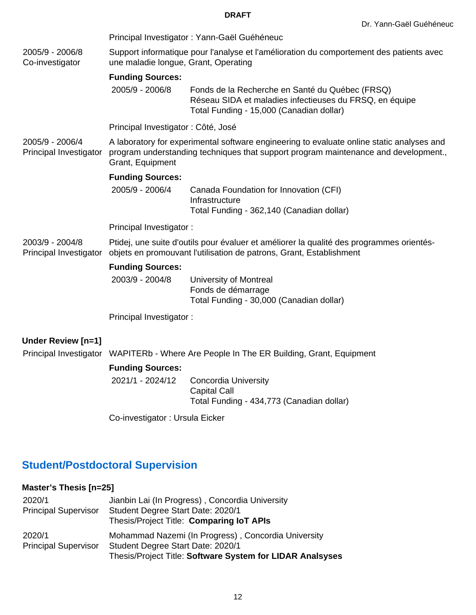|                                           |                                                                                                                                 | Principal Investigator: Yann-Gaël Guéhéneuc                                                                                                                                      |  |
|-------------------------------------------|---------------------------------------------------------------------------------------------------------------------------------|----------------------------------------------------------------------------------------------------------------------------------------------------------------------------------|--|
| 2005/9 - 2006/8<br>Co-investigator        | Support informatique pour l'analyse et l'amélioration du comportement des patients avec<br>une maladie longue, Grant, Operating |                                                                                                                                                                                  |  |
|                                           | <b>Funding Sources:</b>                                                                                                         |                                                                                                                                                                                  |  |
|                                           | 2005/9 - 2006/8                                                                                                                 | Fonds de la Recherche en Santé du Québec (FRSQ)<br>Réseau SIDA et maladies infectieuses du FRSQ, en équipe<br>Total Funding - 15,000 (Canadian dollar)                           |  |
|                                           | Principal Investigator: Côté, José                                                                                              |                                                                                                                                                                                  |  |
| 2005/9 - 2006/4<br>Principal Investigator | Grant, Equipment                                                                                                                | A laboratory for experimental software engineering to evaluate online static analyses and<br>program understanding techniques that support program maintenance and development., |  |
|                                           | <b>Funding Sources:</b>                                                                                                         |                                                                                                                                                                                  |  |
|                                           | 2005/9 - 2006/4                                                                                                                 | Canada Foundation for Innovation (CFI)<br>Infrastructure                                                                                                                         |  |
|                                           |                                                                                                                                 | Total Funding - 362,140 (Canadian dollar)                                                                                                                                        |  |
|                                           | Principal Investigator:                                                                                                         |                                                                                                                                                                                  |  |
| 2003/9 - 2004/8<br>Principal Investigator |                                                                                                                                 | Ptidej, une suite d'outils pour évaluer et améliorer la qualité des programmes orientés-<br>objets en promouvant l'utilisation de patrons, Grant, Establishment                  |  |
|                                           | <b>Funding Sources:</b>                                                                                                         |                                                                                                                                                                                  |  |
|                                           | 2003/9 - 2004/8                                                                                                                 | University of Montreal                                                                                                                                                           |  |
|                                           |                                                                                                                                 | Fonds de démarrage<br>Total Funding - 30,000 (Canadian dollar)                                                                                                                   |  |
|                                           | Principal Investigator:                                                                                                         |                                                                                                                                                                                  |  |
| Under Review [n=1]                        |                                                                                                                                 |                                                                                                                                                                                  |  |
|                                           |                                                                                                                                 | Principal Investigator WAPITERb - Where Are People In The ER Building, Grant, Equipment                                                                                          |  |
|                                           | <b>Funding Sources:</b>                                                                                                         |                                                                                                                                                                                  |  |
|                                           | 2021/1 - 2024/12                                                                                                                | <b>Concordia University</b>                                                                                                                                                      |  |
|                                           |                                                                                                                                 | <b>Capital Call</b>                                                                                                                                                              |  |

Co-investigator : Ursula Eicker

# **Student/Postdoctoral Supervision**

# **Master's Thesis [n=25]**

| 2020/1                      | Jianbin Lai (In Progress), Concordia University           |
|-----------------------------|-----------------------------------------------------------|
| <b>Principal Supervisor</b> | Student Degree Start Date: 2020/1                         |
|                             | Thesis/Project Title: Comparing IoT APIs                  |
| 2020/1                      | Mohammad Nazemi (In Progress), Concordia University       |
| <b>Principal Supervisor</b> | Student Degree Start Date: 2020/1                         |
|                             | Thesis/Project Title: Software System for LIDAR Analsyses |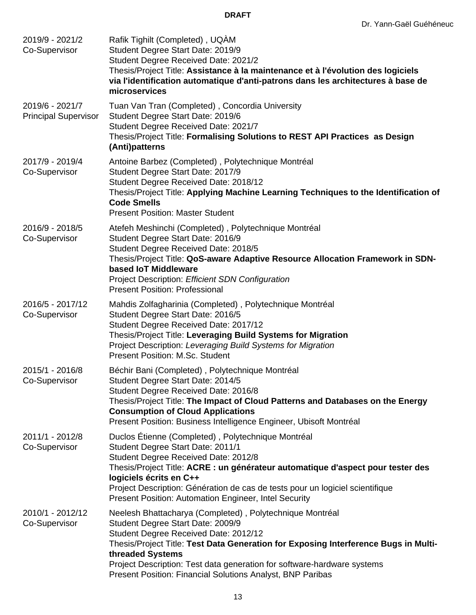| 2019/9 - 2021/2<br>Co-Supervisor               | Rafik Tighilt (Completed), UQAM<br>Student Degree Start Date: 2019/9<br>Student Degree Received Date: 2021/2<br>Thesis/Project Title: Assistance à la maintenance et à l'évolution des logiciels<br>via l'identification automatique d'anti-patrons dans les architectures à base de<br>microservices                                                                                             |
|------------------------------------------------|---------------------------------------------------------------------------------------------------------------------------------------------------------------------------------------------------------------------------------------------------------------------------------------------------------------------------------------------------------------------------------------------------|
| 2019/6 - 2021/7<br><b>Principal Supervisor</b> | Tuan Van Tran (Completed), Concordia University<br>Student Degree Start Date: 2019/6<br>Student Degree Received Date: 2021/7<br>Thesis/Project Title: Formalising Solutions to REST API Practices as Design<br>(Anti)patterns                                                                                                                                                                     |
| 2017/9 - 2019/4<br>Co-Supervisor               | Antoine Barbez (Completed), Polytechnique Montréal<br>Student Degree Start Date: 2017/9<br>Student Degree Received Date: 2018/12<br>Thesis/Project Title: Applying Machine Learning Techniques to the Identification of<br><b>Code Smells</b><br><b>Present Position: Master Student</b>                                                                                                          |
| 2016/9 - 2018/5<br>Co-Supervisor               | Atefeh Meshinchi (Completed), Polytechnique Montréal<br>Student Degree Start Date: 2016/9<br>Student Degree Received Date: 2018/5<br>Thesis/Project Title: QoS-aware Adaptive Resource Allocation Framework in SDN-<br>based IoT Middleware<br><b>Project Description: Efficient SDN Configuration</b><br><b>Present Position: Professional</b>                                                   |
| 2016/5 - 2017/12<br>Co-Supervisor              | Mahdis Zolfagharinia (Completed), Polytechnique Montréal<br>Student Degree Start Date: 2016/5<br>Student Degree Received Date: 2017/12<br>Thesis/Project Title: Leveraging Build Systems for Migration<br>Project Description: Leveraging Build Systems for Migration<br><b>Present Position: M.Sc. Student</b>                                                                                   |
| 2015/1 - 2016/8<br>Co-Supervisor               | Béchir Bani (Completed), Polytechnique Montréal<br>Student Degree Start Date: 2014/5<br>Student Degree Received Date: 2016/8<br>Thesis/Project Title: The Impact of Cloud Patterns and Databases on the Energy<br><b>Consumption of Cloud Applications</b><br>Present Position: Business Intelligence Engineer, Ubisoft Montréal                                                                  |
| 2011/1 - 2012/8<br>Co-Supervisor               | Duclos Étienne (Completed), Polytechnique Montréal<br>Student Degree Start Date: 2011/1<br>Student Degree Received Date: 2012/8<br>Thesis/Project Title: ACRE : un générateur automatique d'aspect pour tester des<br>logiciels écrits en C++<br>Project Description: Génération de cas de tests pour un logiciel scientifique<br>Present Position: Automation Engineer, Intel Security           |
| 2010/1 - 2012/12<br>Co-Supervisor              | Neelesh Bhattacharya (Completed), Polytechnique Montréal<br>Student Degree Start Date: 2009/9<br>Student Degree Received Date: 2012/12<br>Thesis/Project Title: Test Data Generation for Exposing Interference Bugs in Multi-<br>threaded Systems<br>Project Description: Test data generation for software-hardware systems<br><b>Present Position: Financial Solutions Analyst, BNP Paribas</b> |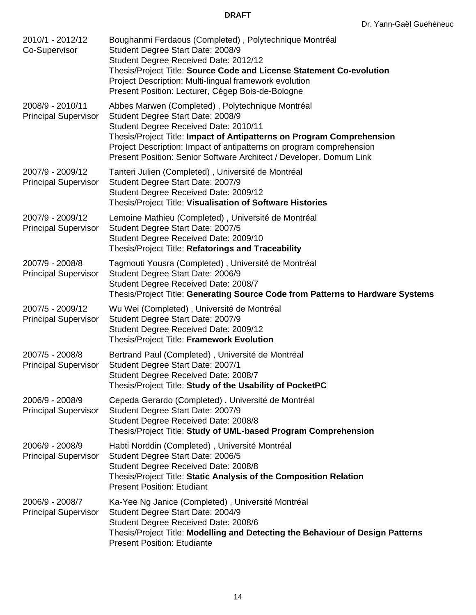| 2010/1 - 2012/12<br>Co-Supervisor               | Boughanmi Ferdaous (Completed), Polytechnique Montréal<br>Student Degree Start Date: 2008/9<br>Student Degree Received Date: 2012/12<br>Thesis/Project Title: Source Code and License Statement Co-evolution<br>Project Description: Multi-lingual framework evolution<br>Present Position: Lecturer, Cégep Bois-de-Bologne                            |
|-------------------------------------------------|--------------------------------------------------------------------------------------------------------------------------------------------------------------------------------------------------------------------------------------------------------------------------------------------------------------------------------------------------------|
| 2008/9 - 2010/11<br><b>Principal Supervisor</b> | Abbes Marwen (Completed), Polytechnique Montréal<br>Student Degree Start Date: 2008/9<br>Student Degree Received Date: 2010/11<br>Thesis/Project Title: Impact of Antipatterns on Program Comprehension<br>Project Description: Impact of antipatterns on program comprehension<br>Present Position: Senior Software Architect / Developer, Domum Link |
| 2007/9 - 2009/12<br><b>Principal Supervisor</b> | Tanteri Julien (Completed), Université de Montréal<br>Student Degree Start Date: 2007/9<br>Student Degree Received Date: 2009/12<br>Thesis/Project Title: Visualisation of Software Histories                                                                                                                                                          |
| 2007/9 - 2009/12<br><b>Principal Supervisor</b> | Lemoine Mathieu (Completed), Université de Montréal<br>Student Degree Start Date: 2007/5<br>Student Degree Received Date: 2009/10<br>Thesis/Project Title: Refatorings and Traceability                                                                                                                                                                |
| 2007/9 - 2008/8<br><b>Principal Supervisor</b>  | Tagmouti Yousra (Completed), Université de Montréal<br>Student Degree Start Date: 2006/9<br>Student Degree Received Date: 2008/7<br>Thesis/Project Title: Generating Source Code from Patterns to Hardware Systems                                                                                                                                     |
| 2007/5 - 2009/12<br><b>Principal Supervisor</b> | Wu Wei (Completed), Université de Montréal<br>Student Degree Start Date: 2007/9<br>Student Degree Received Date: 2009/12<br><b>Thesis/Project Title: Framework Evolution</b>                                                                                                                                                                           |
| 2007/5 - 2008/8<br><b>Principal Supervisor</b>  | Bertrand Paul (Completed), Université de Montréal<br>Student Degree Start Date: 2007/1<br>Student Degree Received Date: 2008/7<br>Thesis/Project Title: Study of the Usability of PocketPC                                                                                                                                                             |
| 2006/9 - 2008/9<br><b>Principal Supervisor</b>  | Cepeda Gerardo (Completed), Université de Montréal<br>Student Degree Start Date: 2007/9<br>Student Degree Received Date: 2008/8<br>Thesis/Project Title: Study of UML-based Program Comprehension                                                                                                                                                      |
| 2006/9 - 2008/9<br><b>Principal Supervisor</b>  | Habti Norddin (Completed), Université Montréal<br>Student Degree Start Date: 2006/5<br>Student Degree Received Date: 2008/8<br>Thesis/Project Title: Static Analysis of the Composition Relation<br><b>Present Position: Etudiant</b>                                                                                                                  |
| 2006/9 - 2008/7<br><b>Principal Supervisor</b>  | Ka-Yee Ng Janice (Completed), Université Montréal<br>Student Degree Start Date: 2004/9<br>Student Degree Received Date: 2008/6<br>Thesis/Project Title: Modelling and Detecting the Behaviour of Design Patterns<br><b>Present Position: Etudiante</b>                                                                                                 |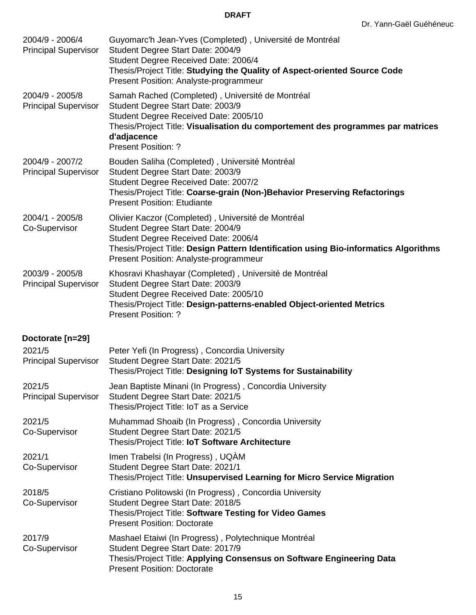| 2004/9 - 2006/4<br><b>Principal Supervisor</b> | Guyomarc'h Jean-Yves (Completed), Université de Montréal<br>Student Degree Start Date: 2004/9<br>Student Degree Received Date: 2006/4<br>Thesis/Project Title: Studying the Quality of Aspect-oriented Source Code<br>Present Position: Analyste-programmeur      |
|------------------------------------------------|-------------------------------------------------------------------------------------------------------------------------------------------------------------------------------------------------------------------------------------------------------------------|
| 2004/9 - 2005/8<br><b>Principal Supervisor</b> | Samah Rached (Completed), Université de Montréal<br>Student Degree Start Date: 2003/9<br>Student Degree Received Date: 2005/10<br>Thesis/Project Title: Visualisation du comportement des programmes par matrices<br>d'adjacence<br><b>Present Position: ?</b>    |
| 2004/9 - 2007/2<br><b>Principal Supervisor</b> | Bouden Saliha (Completed), Université Montréal<br>Student Degree Start Date: 2003/9<br>Student Degree Received Date: 2007/2<br>Thesis/Project Title: Coarse-grain (Non-)Behavior Preserving Refactorings<br><b>Present Position: Etudiante</b>                    |
| 2004/1 - 2005/8<br>Co-Supervisor               | Olivier Kaczor (Completed), Université de Montréal<br>Student Degree Start Date: 2004/9<br>Student Degree Received Date: 2006/4<br>Thesis/Project Title: Design Pattern Identification using Bio-informatics Algorithms<br>Present Position: Analyste-programmeur |
| 2003/9 - 2005/8<br><b>Principal Supervisor</b> | Khosravi Khashayar (Completed), Université de Montréal<br>Student Degree Start Date: 2003/9<br>Student Degree Received Date: 2005/10<br>Thesis/Project Title: Design-patterns-enabled Object-oriented Metrics<br><b>Present Position: ?</b>                       |
| Doctorate [n=29]                               |                                                                                                                                                                                                                                                                   |
| 2021/5<br><b>Principal Supervisor</b>          | Peter Yefi (In Progress), Concordia University<br>Student Degree Start Date: 2021/5<br>Thesis/Project Title: Designing IoT Systems for Sustainability                                                                                                             |
| 2021/5<br><b>Principal Supervisor</b>          | Jean Baptiste Minani (In Progress), Concordia University<br>Student Degree Start Date: 2021/5<br>Thesis/Project Title: IoT as a Service                                                                                                                           |
| 2021/5<br>Co-Supervisor                        | Muhammad Shoaib (In Progress), Concordia University<br>Student Degree Start Date: 2021/5<br>Thesis/Project Title: IoT Software Architecture                                                                                                                       |
| 2021/1<br>Co-Supervisor                        | Imen Trabelsi (In Progress), UQAM<br>Student Degree Start Date: 2021/1<br>Thesis/Project Title: Unsupervised Learning for Micro Service Migration                                                                                                                 |
| 2018/5<br>Co-Supervisor                        | Cristiano Politowski (In Progress), Concordia University<br>Student Degree Start Date: 2018/5<br>Thesis/Project Title: Software Testing for Video Games<br><b>Present Position: Doctorate</b>                                                                     |
| 2017/9<br>Co-Supervisor                        | Mashael Etaiwi (In Progress), Polytechnique Montréal<br>Student Degree Start Date: 2017/9<br>Thesis/Project Title: Applying Consensus on Software Engineering Data<br><b>Present Position: Doctorate</b>                                                          |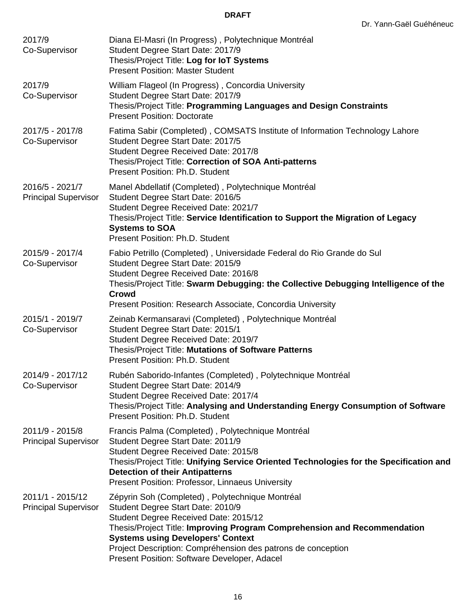| 2017/9<br>Co-Supervisor                         | Diana El-Masri (In Progress), Polytechnique Montréal<br>Student Degree Start Date: 2017/9<br>Thesis/Project Title: Log for IoT Systems<br><b>Present Position: Master Student</b>                                                                                                                                                                                     |
|-------------------------------------------------|-----------------------------------------------------------------------------------------------------------------------------------------------------------------------------------------------------------------------------------------------------------------------------------------------------------------------------------------------------------------------|
| 2017/9<br>Co-Supervisor                         | William Flageol (In Progress), Concordia University<br>Student Degree Start Date: 2017/9<br>Thesis/Project Title: Programming Languages and Design Constraints<br><b>Present Position: Doctorate</b>                                                                                                                                                                  |
| 2017/5 - 2017/8<br>Co-Supervisor                | Fatima Sabir (Completed), COMSATS Institute of Information Technology Lahore<br>Student Degree Start Date: 2017/5<br>Student Degree Received Date: 2017/8<br>Thesis/Project Title: Correction of SOA Anti-patterns<br><b>Present Position: Ph.D. Student</b>                                                                                                          |
| 2016/5 - 2021/7<br><b>Principal Supervisor</b>  | Manel Abdellatif (Completed), Polytechnique Montréal<br>Student Degree Start Date: 2016/5<br>Student Degree Received Date: 2021/7<br>Thesis/Project Title: Service Identification to Support the Migration of Legacy<br><b>Systems to SOA</b><br><b>Present Position: Ph.D. Student</b>                                                                               |
| 2015/9 - 2017/4<br>Co-Supervisor                | Fabio Petrillo (Completed), Universidade Federal do Rio Grande do Sul<br>Student Degree Start Date: 2015/9<br>Student Degree Received Date: 2016/8<br>Thesis/Project Title: Swarm Debugging: the Collective Debugging Intelligence of the<br><b>Crowd</b><br>Present Position: Research Associate, Concordia University                                               |
| 2015/1 - 2019/7<br>Co-Supervisor                | Zeinab Kermansaravi (Completed), Polytechnique Montréal<br>Student Degree Start Date: 2015/1<br>Student Degree Received Date: 2019/7<br>Thesis/Project Title: Mutations of Software Patterns<br><b>Present Position: Ph.D. Student</b>                                                                                                                                |
| 2014/9 - 2017/12<br>Co-Supervisor               | Rubén Saborido-Infantes (Completed), Polytechnique Montréal<br>Student Degree Start Date: 2014/9<br>Student Degree Received Date: 2017/4<br>Thesis/Project Title: Analysing and Understanding Energy Consumption of Software<br>Present Position: Ph.D. Student                                                                                                       |
| 2011/9 - 2015/8<br><b>Principal Supervisor</b>  | Francis Palma (Completed), Polytechnique Montréal<br>Student Degree Start Date: 2011/9<br>Student Degree Received Date: 2015/8<br>Thesis/Project Title: Unifying Service Oriented Technologies for the Specification and<br><b>Detection of their Antipatterns</b><br>Present Position: Professor, Linnaeus University                                                |
| 2011/1 - 2015/12<br><b>Principal Supervisor</b> | Zépyrin Soh (Completed), Polytechnique Montréal<br>Student Degree Start Date: 2010/9<br>Student Degree Received Date: 2015/12<br>Thesis/Project Title: Improving Program Comprehension and Recommendation<br><b>Systems using Developers' Context</b><br>Project Description: Compréhension des patrons de conception<br>Present Position: Software Developer, Adacel |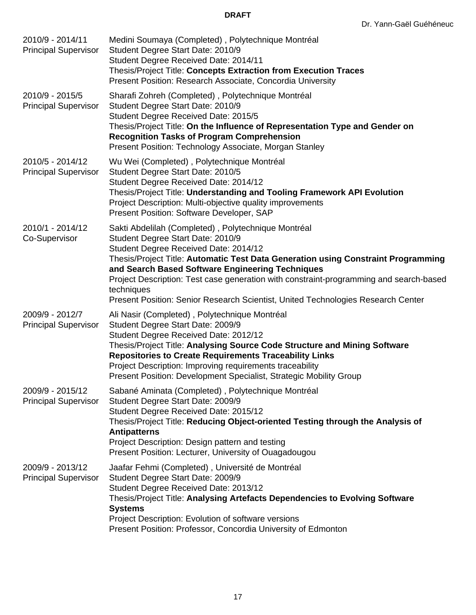| 2010/9 - 2014/11<br><b>Principal Supervisor</b> | Medini Soumaya (Completed), Polytechnique Montréal<br>Student Degree Start Date: 2010/9<br>Student Degree Received Date: 2014/11<br>Thesis/Project Title: Concepts Extraction from Execution Traces<br>Present Position: Research Associate, Concordia University                                                                                                                                                                                                      |
|-------------------------------------------------|------------------------------------------------------------------------------------------------------------------------------------------------------------------------------------------------------------------------------------------------------------------------------------------------------------------------------------------------------------------------------------------------------------------------------------------------------------------------|
| 2010/9 - 2015/5<br><b>Principal Supervisor</b>  | Sharafi Zohreh (Completed), Polytechnique Montréal<br>Student Degree Start Date: 2010/9<br>Student Degree Received Date: 2015/5<br>Thesis/Project Title: On the Influence of Representation Type and Gender on<br><b>Recognition Tasks of Program Comprehension</b><br>Present Position: Technology Associate, Morgan Stanley                                                                                                                                          |
| 2010/5 - 2014/12<br><b>Principal Supervisor</b> | Wu Wei (Completed), Polytechnique Montréal<br>Student Degree Start Date: 2010/5<br>Student Degree Received Date: 2014/12<br>Thesis/Project Title: Understanding and Tooling Framework API Evolution<br>Project Description: Multi-objective quality improvements<br>Present Position: Software Developer, SAP                                                                                                                                                          |
| 2010/1 - 2014/12<br>Co-Supervisor               | Sakti Abdelilah (Completed), Polytechnique Montréal<br>Student Degree Start Date: 2010/9<br>Student Degree Received Date: 2014/12<br>Thesis/Project Title: Automatic Test Data Generation using Constraint Programming<br>and Search Based Software Engineering Techniques<br>Project Description: Test case generation with constraint-programming and search-based<br>techniques<br>Present Position: Senior Research Scientist, United Technologies Research Center |
| 2009/9 - 2012/7<br><b>Principal Supervisor</b>  | Ali Nasir (Completed), Polytechnique Montréal<br>Student Degree Start Date: 2009/9<br>Student Degree Received Date: 2012/12<br>Thesis/Project Title: Analysing Source Code Structure and Mining Software<br><b>Repositories to Create Requirements Traceability Links</b><br>Project Description: Improving requirements traceability<br>Present Position: Development Specialist, Strategic Mobility Group                                                            |
| 2009/9 - 2015/12<br><b>Principal Supervisor</b> | Sabané Aminata (Completed), Polytechnique Montréal<br>Student Degree Start Date: 2009/9<br>Student Degree Received Date: 2015/12<br>Thesis/Project Title: Reducing Object-oriented Testing through the Analysis of<br><b>Antipatterns</b><br>Project Description: Design pattern and testing<br>Present Position: Lecturer, University of Ouagadougou                                                                                                                  |
| 2009/9 - 2013/12<br><b>Principal Supervisor</b> | Jaafar Fehmi (Completed), Université de Montréal<br>Student Degree Start Date: 2009/9<br>Student Degree Received Date: 2013/12<br>Thesis/Project Title: Analysing Artefacts Dependencies to Evolving Software<br><b>Systems</b><br>Project Description: Evolution of software versions<br>Present Position: Professor, Concordia University of Edmonton                                                                                                                |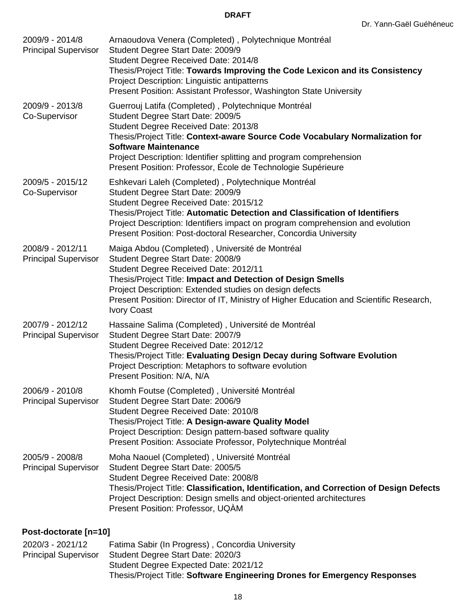| 2009/9 - 2014/8<br><b>Principal Supervisor</b>  | Arnaoudova Venera (Completed), Polytechnique Montréal<br>Student Degree Start Date: 2009/9<br>Student Degree Received Date: 2014/8<br>Thesis/Project Title: Towards Improving the Code Lexicon and its Consistency<br>Project Description: Linguistic antipatterns<br>Present Position: Assistant Professor, Washington State University                                               |
|-------------------------------------------------|----------------------------------------------------------------------------------------------------------------------------------------------------------------------------------------------------------------------------------------------------------------------------------------------------------------------------------------------------------------------------------------|
| 2009/9 - 2013/8<br>Co-Supervisor                | Guerrouj Latifa (Completed), Polytechnique Montréal<br>Student Degree Start Date: 2009/5<br>Student Degree Received Date: 2013/8<br>Thesis/Project Title: Context-aware Source Code Vocabulary Normalization for<br><b>Software Maintenance</b><br>Project Description: Identifier splitting and program comprehension<br>Present Position: Professor, École de Technologie Supérieure |
| 2009/5 - 2015/12<br>Co-Supervisor               | Eshkevari Laleh (Completed), Polytechnique Montréal<br>Student Degree Start Date: 2009/9<br>Student Degree Received Date: 2015/12<br>Thesis/Project Title: Automatic Detection and Classification of Identifiers<br>Project Description: Identifiers impact on program comprehension and evolution<br>Present Position: Post-doctoral Researcher, Concordia University                 |
| 2008/9 - 2012/11<br><b>Principal Supervisor</b> | Maiga Abdou (Completed), Université de Montréal<br>Student Degree Start Date: 2008/9<br>Student Degree Received Date: 2012/11<br>Thesis/Project Title: Impact and Detection of Design Smells<br>Project Description: Extended studies on design defects<br>Present Position: Director of IT, Ministry of Higher Education and Scientific Research,<br><b>Ivory Coast</b>               |
| 2007/9 - 2012/12<br><b>Principal Supervisor</b> | Hassaine Salima (Completed), Université de Montréal<br>Student Degree Start Date: 2007/9<br>Student Degree Received Date: 2012/12<br>Thesis/Project Title: Evaluating Design Decay during Software Evolution<br>Project Description: Metaphors to software evolution<br>Present Position: N/A, N/A                                                                                     |
| 2006/9 - 2010/8<br><b>Principal Supervisor</b>  | Khomh Foutse (Completed), Université Montréal<br>Student Degree Start Date: 2006/9<br>Student Degree Received Date: 2010/8<br>Thesis/Project Title: A Design-aware Quality Model<br>Project Description: Design pattern-based software quality<br>Present Position: Associate Professor, Polytechnique Montréal                                                                        |
| 2005/9 - 2008/8<br><b>Principal Supervisor</b>  | Moha Naouel (Completed), Université Montréal<br>Student Degree Start Date: 2005/5<br>Student Degree Received Date: 2008/8<br>Thesis/Project Title: Classification, Identification, and Correction of Design Defects<br>Project Description: Design smells and object-oriented architectures<br>Present Position: Professor, UQAM                                                       |
|                                                 |                                                                                                                                                                                                                                                                                                                                                                                        |

# **Post-doctorate [n=10]**

| 2020/3 - 2021/12            | Fatima Sabir (In Progress), Concordia University                          |
|-----------------------------|---------------------------------------------------------------------------|
| <b>Principal Supervisor</b> | Student Degree Start Date: 2020/3                                         |
|                             | Student Degree Expected Date: 2021/12                                     |
|                             | Thesis/Project Title: Software Engineering Drones for Emergency Responses |
|                             |                                                                           |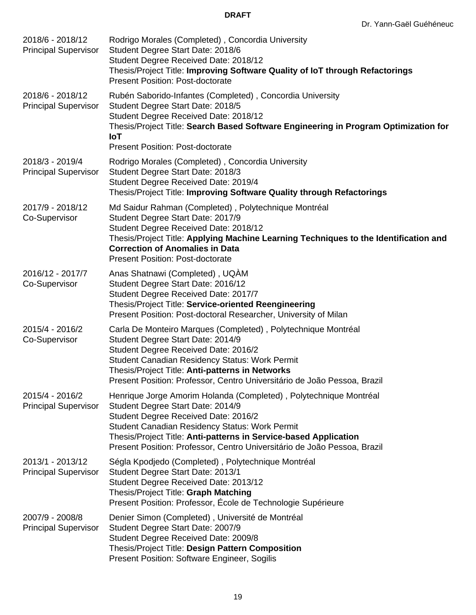| 2018/6 - 2018/12<br><b>Principal Supervisor</b> | Rodrigo Morales (Completed), Concordia University<br>Student Degree Start Date: 2018/6<br>Student Degree Received Date: 2018/12<br>Thesis/Project Title: Improving Software Quality of IoT through Refactorings<br><b>Present Position: Post-doctorate</b>                                                                                       |
|-------------------------------------------------|--------------------------------------------------------------------------------------------------------------------------------------------------------------------------------------------------------------------------------------------------------------------------------------------------------------------------------------------------|
| 2018/6 - 2018/12<br><b>Principal Supervisor</b> | Rubén Saborido-Infantes (Completed), Concordia University<br>Student Degree Start Date: 2018/5<br>Student Degree Received Date: 2018/12<br>Thesis/Project Title: Search Based Software Engineering in Program Optimization for<br><b>IoT</b><br><b>Present Position: Post-doctorate</b>                                                          |
| 2018/3 - 2019/4<br><b>Principal Supervisor</b>  | Rodrigo Morales (Completed), Concordia University<br>Student Degree Start Date: 2018/3<br>Student Degree Received Date: 2019/4<br>Thesis/Project Title: Improving Software Quality through Refactorings                                                                                                                                          |
| 2017/9 - 2018/12<br>Co-Supervisor               | Md Saidur Rahman (Completed), Polytechnique Montréal<br>Student Degree Start Date: 2017/9<br>Student Degree Received Date: 2018/12<br>Thesis/Project Title: Applying Machine Learning Techniques to the Identification and<br><b>Correction of Anomalies in Data</b><br><b>Present Position: Post-doctorate</b>                                  |
| 2016/12 - 2017/7<br>Co-Supervisor               | Anas Shatnawi (Completed), UQAM<br>Student Degree Start Date: 2016/12<br>Student Degree Received Date: 2017/7<br>Thesis/Project Title: Service-oriented Reengineering<br>Present Position: Post-doctoral Researcher, University of Milan                                                                                                         |
| 2015/4 - 2016/2<br>Co-Supervisor                | Carla De Monteiro Marques (Completed), Polytechnique Montréal<br>Student Degree Start Date: 2014/9<br>Student Degree Received Date: 2016/2<br>Student Canadian Residency Status: Work Permit<br>Thesis/Project Title: Anti-patterns in Networks<br>Present Position: Professor, Centro Universitário de João Pessoa, Brazil                      |
| 2015/4 - 2016/2<br><b>Principal Supervisor</b>  | Henrique Jorge Amorim Holanda (Completed), Polytechnique Montréal<br>Student Degree Start Date: 2014/9<br>Student Degree Received Date: 2016/2<br>Student Canadian Residency Status: Work Permit<br>Thesis/Project Title: Anti-patterns in Service-based Application<br>Present Position: Professor, Centro Universitário de João Pessoa, Brazil |
| 2013/1 - 2013/12<br><b>Principal Supervisor</b> | Ségla Kpodjedo (Completed), Polytechnique Montréal<br>Student Degree Start Date: 2013/1<br>Student Degree Received Date: 2013/12<br>Thesis/Project Title: Graph Matching<br>Present Position: Professor, École de Technologie Supérieure                                                                                                         |
| 2007/9 - 2008/8<br><b>Principal Supervisor</b>  | Denier Simon (Completed), Université de Montréal<br>Student Degree Start Date: 2007/9<br>Student Degree Received Date: 2009/8<br>Thesis/Project Title: Design Pattern Composition<br>Present Position: Software Engineer, Sogilis                                                                                                                |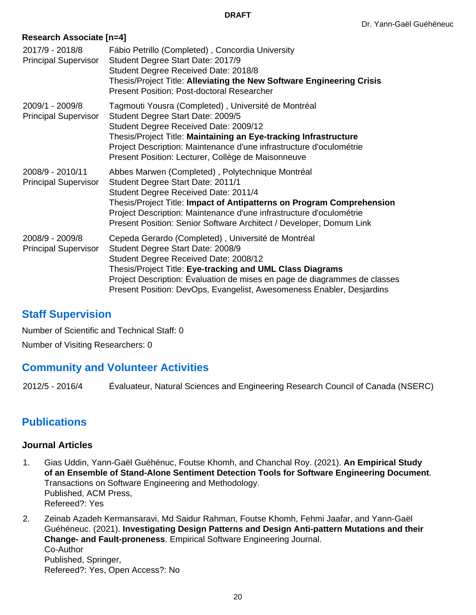| <b>Research Associate [n=4]</b>                 |                                                                                                                                                                                                                                                                                                                                                      |
|-------------------------------------------------|------------------------------------------------------------------------------------------------------------------------------------------------------------------------------------------------------------------------------------------------------------------------------------------------------------------------------------------------------|
| 2017/9 - 2018/8<br><b>Principal Supervisor</b>  | Fábio Petrillo (Completed), Concordia University<br>Student Degree Start Date: 2017/9<br>Student Degree Received Date: 2018/8<br>Thesis/Project Title: Alleviating the New Software Engineering Crisis<br><b>Present Position: Post-doctoral Researcher</b>                                                                                          |
| 2009/1 - 2009/8<br><b>Principal Supervisor</b>  | Tagmouti Yousra (Completed), Université de Montréal<br>Student Degree Start Date: 2009/5<br>Student Degree Received Date: 2009/12<br>Thesis/Project Title: Maintaining an Eye-tracking Infrastructure<br>Project Description: Maintenance d'une infrastructure d'oculométrie<br>Present Position: Lecturer, Collège de Maisonneuve                   |
| 2008/9 - 2010/11<br><b>Principal Supervisor</b> | Abbes Marwen (Completed), Polytechnique Montréal<br>Student Degree Start Date: 2011/1<br>Student Degree Received Date: 2011/4<br>Thesis/Project Title: Impact of Antipatterns on Program Comprehension<br>Project Description: Maintenance d'une infrastructure d'oculométrie<br>Present Position: Senior Software Architect / Developer, Domum Link |
| 2008/9 - 2009/8<br><b>Principal Supervisor</b>  | Cepeda Gerardo (Completed), Université de Montréal<br>Student Degree Start Date: 2008/9<br>Student Degree Received Date: 2008/12<br>Thesis/Project Title: Eye-tracking and UML Class Diagrams<br>Project Description: Evaluation de mises en page de diagrammes de classes<br>Present Position: DevOps, Evangelist, Awesomeness Enabler, Desjardins  |

# **Staff Supervision**

Number of Scientific and Technical Staff: 0

Number of Visiting Researchers: 0

# **Community and Volunteer Activities**

2012/5 - 2016/4 Évaluateur, Natural Sciences and Engineering Research Council of Canada (NSERC)

# **Publications**

### **Journal Articles**

- 1. Gias Uddin, Yann-Gaël Guéhénuc, Foutse Khomh, and Chanchal Roy. (2021). **An Empirical Study of an Ensemble of Stand-Alone Sentiment Detection Tools for Software Engineering Document**. Transactions on Software Engineering and Methodology. Published, ACM Press, Refereed?: Yes
- 2. Zeinab Azadeh Kermansaravi, Md Saidur Rahman, Foutse Khomh, Fehmi Jaafar, and Yann-Gaël Guéhéneuc. (2021). **Investigating Design Patterns and Design Anti-pattern Mutations and their Change- and Fault-proneness**. Empirical Software Engineering Journal. Co-Author Published, Springer, Refereed?: Yes, Open Access?: No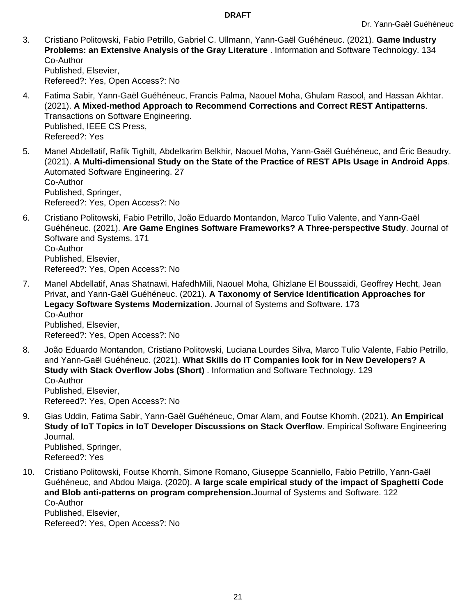- 3. Cristiano Politowski, Fabio Petrillo, Gabriel C. Ullmann, Yann-Gaël Guéhéneuc. (2021). **Game Industry Problems: an Extensive Analysis of the Gray Literature** . Information and Software Technology. 134 Co-Author Published, Elsevier, Refereed?: Yes, Open Access?: No
- 4. Fatima Sabir, Yann-Gaël Guéhéneuc, Francis Palma, Naouel Moha, Ghulam Rasool, and Hassan Akhtar. (2021). **A Mixed-method Approach to Recommend Corrections and Correct REST Antipatterns**. Transactions on Software Engineering. Published, IEEE CS Press, Refereed?: Yes
- 5. Manel Abdellatif, Rafik Tighilt, Abdelkarim Belkhir, Naouel Moha, Yann-Gaël Guéhéneuc, and Éric Beaudry. (2021). **A Multi-dimensional Study on the State of the Practice of REST APIs Usage in Android Apps**. Automated Software Engineering. 27 Co-Author Published, Springer, Refereed?: Yes, Open Access?: No
- 6. Cristiano Politowski, Fabio Petrillo, João Eduardo Montandon, Marco Tulio Valente, and Yann-Gaël Guéhéneuc. (2021). **Are Game Engines Software Frameworks? A Three-perspective Study**. Journal of Software and Systems. 171 Co-Author Published, Elsevier, Refereed?: Yes, Open Access?: No
- 7. Manel Abdellatif, Anas Shatnawi, HafedhMili, Naouel Moha, Ghizlane El Boussaidi, Geoffrey Hecht, Jean Privat, and Yann-Gaël Guéhéneuc. (2021). **A Taxonomy of Service Identification Approaches for Legacy Software Systems Modernization**. Journal of Systems and Software. 173 Co-Author Published, Elsevier, Refereed?: Yes, Open Access?: No
- 8. João Eduardo Montandon, Cristiano Politowski, Luciana Lourdes Silva, Marco Tulio Valente, Fabio Petrillo, and Yann-Gaël Guéhéneuc. (2021). **What Skills do IT Companies look for in New Developers? A Study with Stack Overflow Jobs (Short)** . Information and Software Technology. 129 Co-Author Published, Elsevier, Refereed?: Yes, Open Access?: No
- 9. Gias Uddin, Fatima Sabir, Yann-Gaël Guéhéneuc, Omar Alam, and Foutse Khomh. (2021). **An Empirical Study of IoT Topics in IoT Developer Discussions on Stack Overflow**. Empirical Software Engineering Journal. Published, Springer, Refereed?: Yes
- 10. Cristiano Politowski, Foutse Khomh, Simone Romano, Giuseppe Scanniello, Fabio Petrillo, Yann-Gaël Guéhéneuc, and Abdou Maiga. (2020). **A large scale empirical study of the impact of Spaghetti Code and Blob anti-patterns on program comprehension.**Journal of Systems and Software. 122 Co-Author Published, Elsevier, Refereed?: Yes, Open Access?: No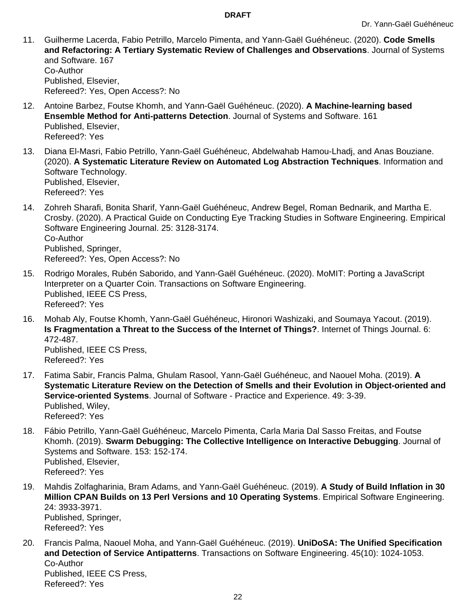- 11. Guilherme Lacerda, Fabio Petrillo, Marcelo Pimenta, and Yann-Gaël Guéhéneuc. (2020). **Code Smells and Refactoring: A Tertiary Systematic Review of Challenges and Observations**. Journal of Systems and Software. 167 Co-Author Published, Elsevier, Refereed?: Yes, Open Access?: No
- 12. Antoine Barbez, Foutse Khomh, and Yann-Gaël Guéhéneuc. (2020). **A Machine-learning based Ensemble Method for Anti-patterns Detection**. Journal of Systems and Software. 161 Published, Elsevier, Refereed?: Yes
- 13. Diana El-Masri, Fabio Petrillo, Yann-Gaël Guéhéneuc, Abdelwahab Hamou-Lhadj, and Anas Bouziane. (2020). **A Systematic Literature Review on Automated Log Abstraction Techniques**. Information and Software Technology. Published, Elsevier, Refereed?: Yes
- 14. Zohreh Sharafi, Bonita Sharif, Yann-Gaël Guéhéneuc, Andrew Begel, Roman Bednarik, and Martha E. Crosby. (2020). A Practical Guide on Conducting Eye Tracking Studies in Software Engineering. Empirical Software Engineering Journal. 25: 3128-3174. Co-Author Published, Springer, Refereed?: Yes, Open Access?: No
- 15. Rodrigo Morales, Rubén Saborido, and Yann-Gaël Guéhéneuc. (2020). MoMIT: Porting a JavaScript Interpreter on a Quarter Coin. Transactions on Software Engineering. Published, IEEE CS Press, Refereed?: Yes
- 16. Mohab Aly, Foutse Khomh, Yann-Gaël Guéhéneuc, Hironori Washizaki, and Soumaya Yacout. (2019). **Is Fragmentation a Threat to the Success of the Internet of Things?**. Internet of Things Journal. 6: 472-487.

Published, IEEE CS Press, Refereed?: Yes

- 17. Fatima Sabir, Francis Palma, Ghulam Rasool, Yann-Gaël Guéhéneuc, and Naouel Moha. (2019). **A Systematic Literature Review on the Detection of Smells and their Evolution in Object-oriented and Service-oriented Systems**. Journal of Software - Practice and Experience. 49: 3-39. Published, Wiley, Refereed?: Yes
- 18. Fábio Petrillo, Yann-Gaël Guéhéneuc, Marcelo Pimenta, Carla Maria Dal Sasso Freitas, and Foutse Khomh. (2019). **Swarm Debugging: The Collective Intelligence on Interactive Debugging**. Journal of Systems and Software. 153: 152-174. Published, Elsevier, Refereed?: Yes
- 19. Mahdis Zolfagharinia, Bram Adams, and Yann-Gaël Guéhéneuc. (2019). **A Study of Build Inflation in 30 Million CPAN Builds on 13 Perl Versions and 10 Operating Systems**. Empirical Software Engineering. 24: 3933-3971. Published, Springer, Refereed?: Yes
- 20. Francis Palma, Naouel Moha, and Yann-Gaël Guéhéneuc. (2019). **UniDoSA: The Unified Specification and Detection of Service Antipatterns**. Transactions on Software Engineering. 45(10): 1024-1053. Co-Author Published, IEEE CS Press, Refereed?: Yes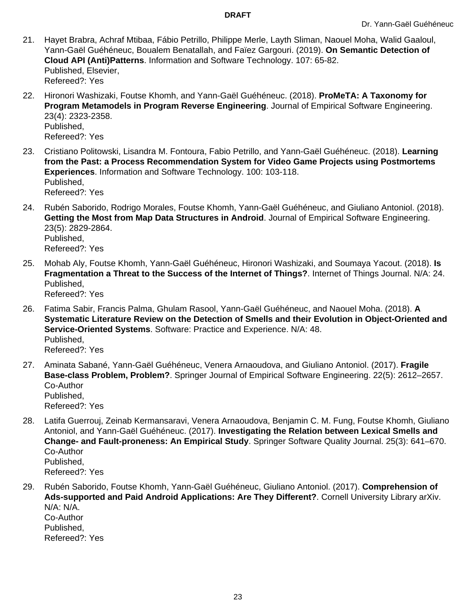- 21. Hayet Brabra, Achraf Mtibaa, Fábio Petrillo, Philippe Merle, Layth Sliman, Naouel Moha, Walid Gaaloul, Yann-Gaël Guéhéneuc, Boualem Benatallah, and Faïez Gargouri. (2019). **On Semantic Detection of Cloud API (Anti)Patterns**. Information and Software Technology. 107: 65-82. Published, Elsevier, Refereed?: Yes
- 22. Hironori Washizaki, Foutse Khomh, and Yann-Gaël Guéhéneuc. (2018). **ProMeTA: A Taxonomy for Program Metamodels in Program Reverse Engineering**. Journal of Empirical Software Engineering. 23(4): 2323-2358. Published, Refereed?: Yes
- 23. Cristiano Politowski, Lisandra M. Fontoura, Fabio Petrillo, and Yann-Gaël Guéhéneuc. (2018). **Learning from the Past: a Process Recommendation System for Video Game Projects using Postmortems Experiences**. Information and Software Technology. 100: 103-118. Published, Refereed?: Yes
- 24. Rubén Saborido, Rodrigo Morales, Foutse Khomh, Yann-Gaël Guéhéneuc, and Giuliano Antoniol. (2018). **Getting the Most from Map Data Structures in Android**. Journal of Empirical Software Engineering. 23(5): 2829-2864. Published, Refereed?: Yes
- 25. Mohab Aly, Foutse Khomh, Yann-Gaël Guéhéneuc, Hironori Washizaki, and Soumaya Yacout. (2018). **Is Fragmentation a Threat to the Success of the Internet of Things?**. Internet of Things Journal. N/A: 24. Published,

Refereed?: Yes

- 26. Fatima Sabir, Francis Palma, Ghulam Rasool, Yann-Gaël Guéhéneuc, and Naouel Moha. (2018). **A Systematic Literature Review on the Detection of Smells and their Evolution in Object-Oriented and Service-Oriented Systems**. Software: Practice and Experience. N/A: 48. Published, Refereed?: Yes
- 27. Aminata Sabané, Yann-Gaël Guéhéneuc, Venera Arnaoudova, and Giuliano Antoniol. (2017). **Fragile Base-class Problem, Problem?**. Springer Journal of Empirical Software Engineering. 22(5): 2612–2657. Co-Author Published, Refereed?: Yes
- 28. Latifa Guerrouj, Zeinab Kermansaravi, Venera Arnaoudova, Benjamin C. M. Fung, Foutse Khomh, Giuliano Antoniol, and Yann-Gaël Guéhéneuc. (2017). **Investigating the Relation between Lexical Smells and Change- and Fault-proneness: An Empirical Study**. Springer Software Quality Journal. 25(3): 641–670. Co-Author Published, Refereed?: Yes
- 29. Rubén Saborido, Foutse Khomh, Yann-Gaël Guéhéneuc, Giuliano Antoniol. (2017). **Comprehension of Ads-supported and Paid Android Applications: Are They Different?**. Cornell University Library arXiv. N/A: N/A.

Co-Author Published, Refereed?: Yes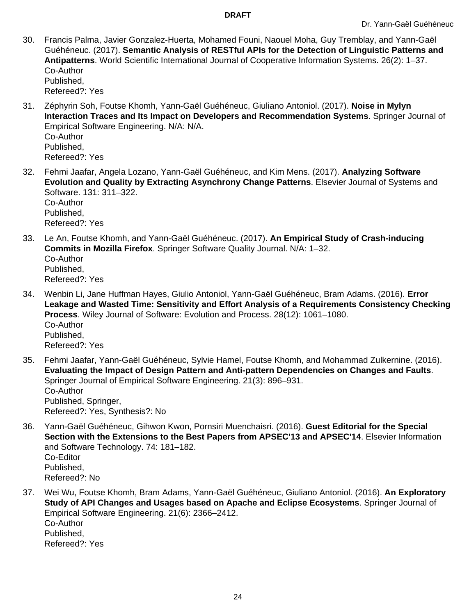- 30. Francis Palma, Javier Gonzalez-Huerta, Mohamed Founi, Naouel Moha, Guy Tremblay, and Yann-Gaël Guéhéneuc. (2017). **Semantic Analysis of RESTful APIs for the Detection of Linguistic Patterns and Antipatterns**. World Scientific International Journal of Cooperative Information Systems. 26(2): 1–37. Co-Author Published, Refereed?: Yes
- 31. Zéphyrin Soh, Foutse Khomh, Yann-Gaël Guéhéneuc, Giuliano Antoniol. (2017). **Noise in Mylyn Interaction Traces and Its Impact on Developers and Recommendation Systems**. Springer Journal of Empirical Software Engineering. N/A: N/A. Co-Author Published,

Refereed?: Yes

32. Fehmi Jaafar, Angela Lozano, Yann-Gaël Guéhéneuc, and Kim Mens. (2017). **Analyzing Software Evolution and Quality by Extracting Asynchrony Change Patterns**. Elsevier Journal of Systems and Software. 131: 311–322. Co-Author Published,

Refereed?: Yes

- 33. Le An, Foutse Khomh, and Yann-Gaël Guéhéneuc. (2017). **An Empirical Study of Crash-inducing Commits in Mozilla Firefox**. Springer Software Quality Journal. N/A: 1–32. Co-Author Published, Refereed?: Yes
- 34. Wenbin Li, Jane Huffman Hayes, Giulio Antoniol, Yann-Gaël Guéhéneuc, Bram Adams. (2016). **Error Leakage and Wasted Time: Sensitivity and Effort Analysis of a Requirements Consistency Checking Process**. Wiley Journal of Software: Evolution and Process. 28(12): 1061–1080. Co-Author Published, Refereed?: Yes
- 35. Fehmi Jaafar, Yann-Gaël Guéhéneuc, Sylvie Hamel, Foutse Khomh, and Mohammad Zulkernine. (2016). **Evaluating the Impact of Design Pattern and Anti-pattern Dependencies on Changes and Faults**. Springer Journal of Empirical Software Engineering. 21(3): 896–931. Co-Author Published, Springer, Refereed?: Yes, Synthesis?: No
- 36. Yann-Gaël Guéhéneuc, Gihwon Kwon, Pornsiri Muenchaisri. (2016). **Guest Editorial for the Special Section with the Extensions to the Best Papers from APSEC'13 and APSEC'14**. Elsevier Information and Software Technology. 74: 181–182. Co-Editor Published, Refereed?: No
- 37. Wei Wu, Foutse Khomh, Bram Adams, Yann-Gaël Guéhéneuc, Giuliano Antoniol. (2016). **An Exploratory Study of API Changes and Usages based on Apache and Eclipse Ecosystems**. Springer Journal of Empirical Software Engineering. 21(6): 2366–2412. Co-Author Published, Refereed?: Yes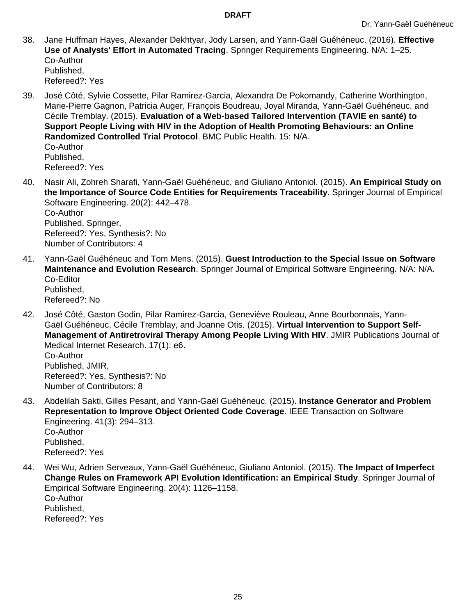- 38. Jane Huffman Hayes, Alexander Dekhtyar, Jody Larsen, and Yann-Gaël Guéhéneuc. (2016). **Effective Use of Analysts' Effort in Automated Tracing**. Springer Requirements Engineering. N/A: 1–25. Co-Author Published, Refereed?: Yes
- 39. José Côté, Sylvie Cossette, Pilar Ramirez-Garcia, Alexandra De Pokomandy, Catherine Worthington, Marie-Pierre Gagnon, Patricia Auger, François Boudreau, Joyal Miranda, Yann-Gaël Guéhéneuc, and Cécile Tremblay. (2015). **Evaluation of a Web-based Tailored Intervention (TAVIE en santé) to Support People Living with HIV in the Adoption of Health Promoting Behaviours: an Online Randomized Controlled Trial Protocol**. BMC Public Health. 15: N/A. Co-Author Published, Refereed?: Yes
- 40. Nasir Ali, Zohreh Sharafi, Yann-Gaël Guéhéneuc, and Giuliano Antoniol. (2015). **An Empirical Study on the Importance of Source Code Entities for Requirements Traceability**. Springer Journal of Empirical Software Engineering. 20(2): 442–478. Co-Author Published, Springer, Refereed?: Yes, Synthesis?: No Number of Contributors: 4
- 41. Yann-Gaël Guéhéneuc and Tom Mens. (2015). **Guest Introduction to the Special Issue on Software Maintenance and Evolution Research**. Springer Journal of Empirical Software Engineering. N/A: N/A. Co-Editor Published,

Refereed?: No

42. José Côté, Gaston Godin, Pilar Ramirez-Garcia, Geneviève Rouleau, Anne Bourbonnais, Yann-Gaël Guéhéneuc, Cécile Tremblay, and Joanne Otis. (2015). **Virtual Intervention to Support Self-Management of Antiretroviral Therapy Among People Living With HIV**. JMIR Publications Journal of Medical Internet Research. 17(1): e6.

Co-Author Published, JMIR, Refereed?: Yes, Synthesis?: No Number of Contributors: 8

- 43. Abdelilah Sakti, Gilles Pesant, and Yann-Gaël Guéhéneuc. (2015). **Instance Generator and Problem Representation to Improve Object Oriented Code Coverage**. IEEE Transaction on Software Engineering. 41(3): 294–313. Co-Author Published, Refereed?: Yes
- 44. Wei Wu, Adrien Serveaux, Yann-Gaël Guéhéneuc, Giuliano Antoniol. (2015). **The Impact of Imperfect Change Rules on Framework API Evolution Identification: an Empirical Study**. Springer Journal of Empirical Software Engineering. 20(4): 1126–1158. Co-Author Published, Refereed?: Yes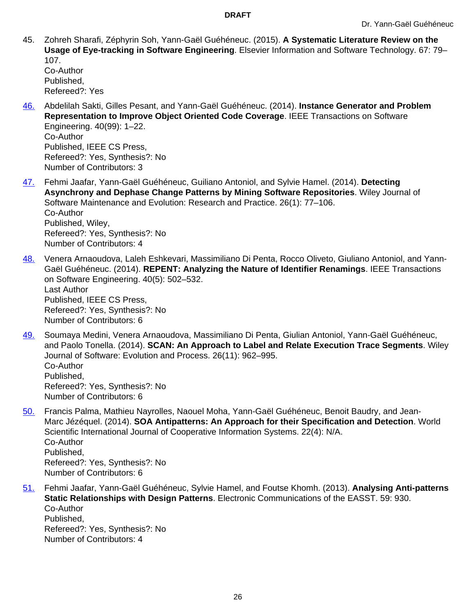- 45. Zohreh Sharafi, Zéphyrin Soh, Yann-Gaël Guéhéneuc. (2015). **A Systematic Literature Review on the Usage of Eye-tracking in Software Engineering**. Elsevier Information and Software Technology. 67: 79– 107. Co-Author Published,
	- Refereed?: Yes
- [46.](http://www.ptidej.net/publications/documents/TSE14b.doc.pdf) Abdelilah Sakti, Gilles Pesant, and Yann-Gaël Guéhéneuc. (2014). **Instance Generator and Problem Representation to Improve Object Oriented Code Coverage**. IEEE Transactions on Software Engineering. 40(99): 1–22. Co-Author Published, IEEE CS Press, Refereed?: Yes, Synthesis?: No Number of Contributors: 3
- [47.](http://www.ptidej.net/publications/documents/JSME13.doc.pdf) Fehmi Jaafar, Yann-Gaël Guéhéneuc, Guiliano Antoniol, and Sylvie Hamel. (2014). **Detecting Asynchrony and Dephase Change Patterns by Mining Software Repositories**. Wiley Journal of Software Maintenance and Evolution: Research and Practice. 26(1): 77–106. Co-Author Published, Wiley, Refereed?: Yes, Synthesis?: No Number of Contributors: 4
- [48.](http://www.ptidej.net/publications/documents/TSE14.doc.pdf) Venera Arnaoudova, Laleh Eshkevari, Massimiliano Di Penta, Rocco Oliveto, Giuliano Antoniol, and Yann-Gaël Guéhéneuc. (2014). **REPENT: Analyzing the Nature of Identifier Renamings**. IEEE Transactions on Software Engineering. 40(5): 502–532. Last Author Published, IEEE CS Press, Refereed?: Yes, Synthesis?: No Number of Contributors: 6
- [49.](http://www.ptidej.net/publications/documents/JSEP14.doc.pdf) Soumaya Medini, Venera Arnaoudova, Massimiliano Di Penta, Giulian Antoniol, Yann-Gaël Guéhéneuc, and Paolo Tonella. (2014). **SCAN: An Approach to Label and Relate Execution Trace Segments**. Wiley Journal of Software: Evolution and Process. 26(11): 962–995. Co-Author Published, Refereed?: Yes, Synthesis?: No Number of Contributors: 6
- [50.](http://www.ptidej.net/publications/documents/IJCIS14.doc.pdf) Francis Palma, Mathieu Nayrolles, Naouel Moha, Yann-Gaël Guéhéneuc, Benoit Baudry, and Jean-Marc Jézéquel. (2014). **SOA Antipatterns: An Approach for their Specification and Detection**. World Scientific International Journal of Cooperative Information Systems. 22(4): N/A. Co-Author Published, Refereed?: Yes, Synthesis?: No Number of Contributors: 6
- [51.](http://www.ptidej.net/publications/documents/ECEASST14.doc.pdf) Fehmi Jaafar, Yann-Gaël Guéhéneuc, Sylvie Hamel, and Foutse Khomh. (2013). **Analysing Anti-patterns Static Relationships with Design Patterns**. Electronic Communications of the EASST. 59: 930. Co-Author Published, Refereed?: Yes, Synthesis?: No

Number of Contributors: 4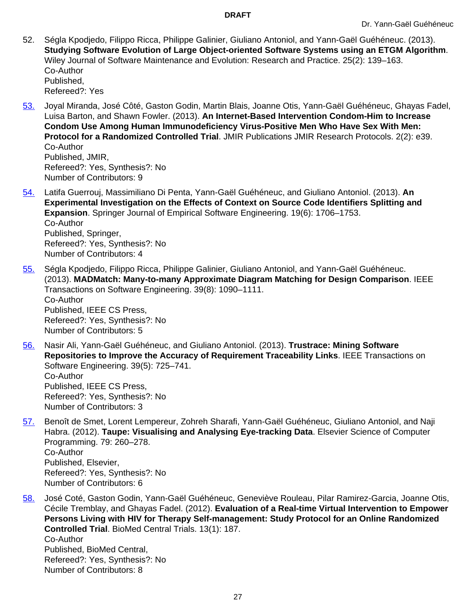- 52. Ségla Kpodjedo, Filippo Ricca, Philippe Galinier, Giuliano Antoniol, and Yann-Gaël Guéhéneuc. (2013). **Studying Software Evolution of Large Object-oriented Software Systems using an ETGM Algorithm**. Wiley Journal of Software Maintenance and Evolution: Research and Practice. 25(2): 139–163. Co-Author Published, Refereed?: Yes
- [53.](http://www.ptidej.net/publications/documents/JMIRResProtoc13.doc.pdf) Joyal Miranda, José Côté, Gaston Godin, Martin Blais, Joanne Otis, Yann-Gaël Guéhéneuc, Ghayas Fadel, Luisa Barton, and Shawn Fowler. (2013). **An Internet-Based Intervention Condom-Him to Increase Condom Use Among Human Immunodeficiency Virus-Positive Men Who Have Sex With Men: Protocol for a Randomized Controlled Trial**. JMIR Publications JMIR Research Protocols. 2(2): e39. Co-Author Published, JMIR, Refereed?: Yes, Synthesis?: No

Number of Contributors: 9

- [54.](http://www.ptidej.net/publications/documents/EMSE13a.doc.pdf) Latifa Guerrouj, Massimiliano Di Penta, Yann-Gaël Guéhéneuc, and Giuliano Antoniol. (2013). **An Experimental Investigation on the Effects of Context on Source Code Identifiers Splitting and Expansion**. Springer Journal of Empirical Software Engineering. 19(6): 1706–1753. Co-Author Published, Springer, Refereed?: Yes, Synthesis?: No Number of Contributors: 4
- [55.](http://www.ptidej.net/publications/documents/TSE13b.doc.pdf) Ségla Kpodjedo, Filippo Ricca, Philippe Galinier, Giuliano Antoniol, and Yann-Gaël Guéhéneuc. (2013). **MADMatch: Many-to-many Approximate Diagram Matching for Design Comparison**. IEEE Transactions on Software Engineering. 39(8): 1090–1111. Co-Author Published, IEEE CS Press, Refereed?: Yes, Synthesis?: No Number of Contributors: 5
- [56.](http://www.ptidej.net/publications/documents/TSE13a.doc.pdf) Nasir Ali, Yann-Gaël Guéhéneuc, and Giuliano Antoniol. (2013). **Trustrace: Mining Software Repositories to Improve the Accuracy of Requirement Traceability Links**. IEEE Transactions on Software Engineering. 39(5): 725–741.

Co-Author Published, IEEE CS Press, Refereed?: Yes, Synthesis?: No Number of Contributors: 3

- [57.](http://www.ptidej.net/publications/documents/SCP11.doc.pdf) Benoît de Smet, Lorent Lempereur, Zohreh Sharafi, Yann-Gaël Guéhéneuc, Giuliano Antoniol, and Naji Habra. (2012). **Taupe: Visualising and Analysing Eye-tracking Data**. Elsevier Science of Computer Programming. 79: 260–278. Co-Author Published, Elsevier, Refereed?: Yes, Synthesis?: No Number of Contributors: 6
- [58.](http://www.ptidej.net/publications/documents/Trials12.doc.pdf) José Coté, Gaston Godin, Yann-Gaël Guéhéneuc, Geneviève Rouleau, Pilar Ramirez-Garcia, Joanne Otis, Cécile Tremblay, and Ghayas Fadel. (2012). **Evaluation of a Real-time Virtual Intervention to Empower Persons Living with HIV for Therapy Self-management: Study Protocol for an Online Randomized Controlled Trial**. BioMed Central Trials. 13(1): 187. Co-Author Published, BioMed Central, Refereed?: Yes, Synthesis?: No Number of Contributors: 8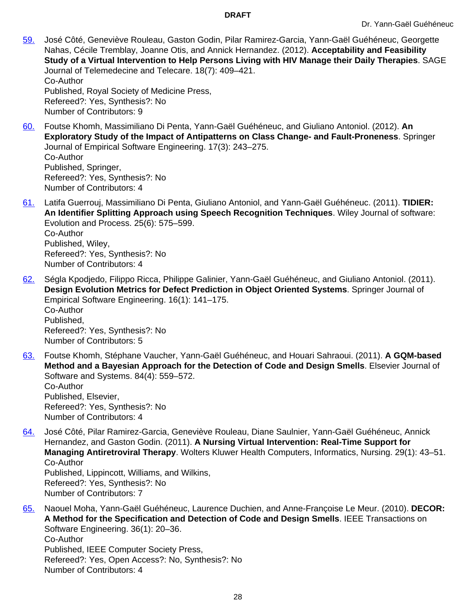- [59.](http://www.ptidej.net/publications/documents/JTT12.doc.pdf) José Côté, Geneviève Rouleau, Gaston Godin, Pilar Ramirez-Garcia, Yann-Gaël Guéhéneuc, Georgette Nahas, Cécile Tremblay, Joanne Otis, and Annick Hernandez. (2012). **Acceptability and Feasibility Study of a Virtual Intervention to Help Persons Living with HIV Manage their Daily Therapies**. SAGE Journal of Telemedecine and Telecare. 18(7): 409–421. Co-Author Published, Royal Society of Medicine Press, Refereed?: Yes, Synthesis?: No Number of Contributors: 9
- [60.](http://www.ptidej.net/publications/documents/EMSE11b.doc.pdf) Foutse Khomh, Massimiliano Di Penta, Yann-Gaël Guéhéneuc, and Giuliano Antoniol. (2012). **An Exploratory Study of the Impact of Antipatterns on Class Change- and Fault-Proneness**. Springer Journal of Empirical Software Engineering. 17(3): 243–275. Co-Author Published, Springer, Refereed?: Yes, Synthesis?: No Number of Contributors: 4
- [61.](http://www.ptidej.net/publications/documents/JSME11.doc.pdf) Latifa Guerrouj, Massimiliano Di Penta, Giuliano Antoniol, and Yann-Gaël Guéhéneuc. (2011). **TIDIER: An Identifier Splitting Approach using Speech Recognition Techniques**. Wiley Journal of software: Evolution and Process. 25(6): 575–599. Co-Author Published, Wiley, Refereed?: Yes, Synthesis?: No Number of Contributors: 4
- [62.](http://www.ptidej.net/publications/documents/EMSE11a.doc.pdf) Ségla Kpodjedo, Filippo Ricca, Philippe Galinier, Yann-Gaël Guéhéneuc, and Giuliano Antoniol. (2011). **Design Evolution Metrics for Defect Prediction in Object Oriented Systems**. Springer Journal of Empirical Software Engineering. 16(1): 141–175. Co-Author Published, Refereed?: Yes, Synthesis?: No Number of Contributors: 5
- [63.](http://www.ptidej.net/publications/documents/JSS11.doc.pdf) Foutse Khomh, Stéphane Vaucher, Yann-Gaël Guéhéneuc, and Houari Sahraoui. (2011). **A GQM-based Method and a Bayesian Approach for the Detection of Code and Design Smells**. Elsevier Journal of Software and Systems. 84(4): 559–572. Co-Author Published, Elsevier, Refereed?: Yes, Synthesis?: No Number of Contributors: 4
- [64.](http://www.ptidej.net/publications/documents/CIN09.doc.pdf) José Côté, Pilar Ramirez-Garcia, Geneviève Rouleau, Diane Saulnier, Yann-Gaël Guéhéneuc, Annick Hernandez, and Gaston Godin. (2011). **A Nursing Virtual Intervention: Real-Time Support for Managing Antiretroviral Therapy**. Wolters Kluwer Health Computers, Informatics, Nursing. 29(1): 43–51. Co-Author Published, Lippincott, Williams, and Wilkins, Refereed?: Yes, Synthesis?: No Number of Contributors: 7
- [65.](http://www.ptidej.net/publications/documents/TSE09.doc.pdf) Naouel Moha, Yann-Gaël Guéhéneuc, Laurence Duchien, and Anne-Françoise Le Meur. (2010). **DECOR: A Method for the Specification and Detection of Code and Design Smells**. IEEE Transactions on Software Engineering. 36(1): 20–36. Co-Author Published, IEEE Computer Society Press, Refereed?: Yes, Open Access?: No, Synthesis?: No Number of Contributors: 4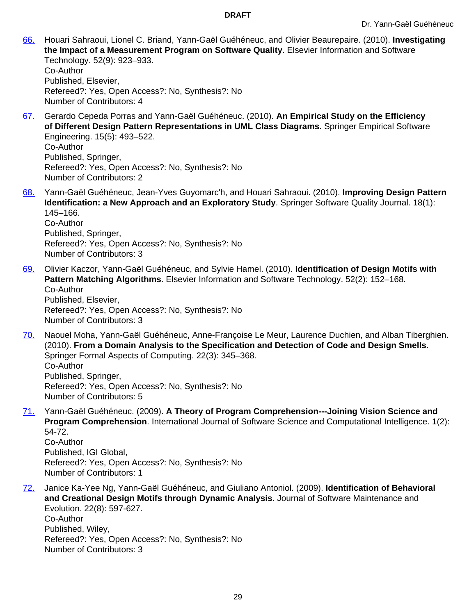- [66.](http://www.ptidej.net/publications/documents/IST10.doc.pdf) Houari Sahraoui, Lionel C. Briand, Yann-Gaël Guéhéneuc, and Olivier Beaurepaire. (2010). **Investigating the Impact of a Measurement Program on Software Quality**. Elsevier Information and Software Technology. 52(9): 923–933. Co-Author Published, Elsevier, Refereed?: Yes, Open Access?: No, Synthesis?: No Number of Contributors: 4
- [67.](http://www.ptidej.net/publications/documents/EMSE10.doc.pdf) Gerardo Cepeda Porras and Yann-Gaël Guéhéneuc. (2010). **An Empirical Study on the Efficiency of Different Design Pattern Representations in UML Class Diagrams**. Springer Empirical Software Engineering. 15(5): 493–522. Co-Author

Published, Springer, Refereed?: Yes, Open Access?: No, Synthesis?: No Number of Contributors: 2

[68.](http://www.ptidej.net/publications/documents/SQJ10.doc.pdf) Yann-Gaël Guéhéneuc, Jean-Yves Guyomarc'h, and Houari Sahraoui. (2010). **Improving Design Pattern Identification: a New Approach and an Exploratory Study**. Springer Software Quality Journal. 18(1): 145–166.

Co-Author Published, Springer, Refereed?: Yes, Open Access?: No, Synthesis?: No Number of Contributors: 3

- [69.](http://www.ptidej.net/publications/documents/IST09.doc.pdf) Olivier Kaczor, Yann-Gaël Guéhéneuc, and Sylvie Hamel. (2010). **Identification of Design Motifs with Pattern Matching Algorithms**. Elsevier Information and Software Technology. 52(2): 152–168. Co-Author Published, Elsevier, Refereed?: Yes, Open Access?: No, Synthesis?: No Number of Contributors: 3
- [70.](http://www.ptidej.net/publications/documents/FAC09.doc.pdf) Naouel Moha, Yann-Gaël Guéhéneuc, Anne-Françoise Le Meur, Laurence Duchien, and Alban Tiberghien. (2010). **From a Domain Analysis to the Specification and Detection of Code and Design Smells**. Springer Formal Aspects of Computing. 22(3): 345–368. Co-Author Published, Springer, Refereed?: Yes, Open Access?: No, Synthesis?: No Number of Contributors: 5
- [71.](http://www.ptidej.net/publications/documents/JSSCI09.doc.pdf) Yann-Gaël Guéhéneuc. (2009). **A Theory of Program Comprehension---Joining Vision Science and Program Comprehension**. International Journal of Software Science and Computational Intelligence. 1(2): 54-72. Co-Author Published, IGI Global,

Refereed?: Yes, Open Access?: No, Synthesis?: No Number of Contributors: 1

[72.](http://www.ptidej.net/publications/documents/JSME09.doc.pdf) Janice Ka-Yee Ng, Yann-Gaël Guéhéneuc, and Giuliano Antoniol. (2009). **Identification of Behavioral and Creational Design Motifs through Dynamic Analysis**. Journal of Software Maintenance and Evolution. 22(8): 597-627. Co-Author Published, Wiley, Refereed?: Yes, Open Access?: No, Synthesis?: No

Number of Contributors: 3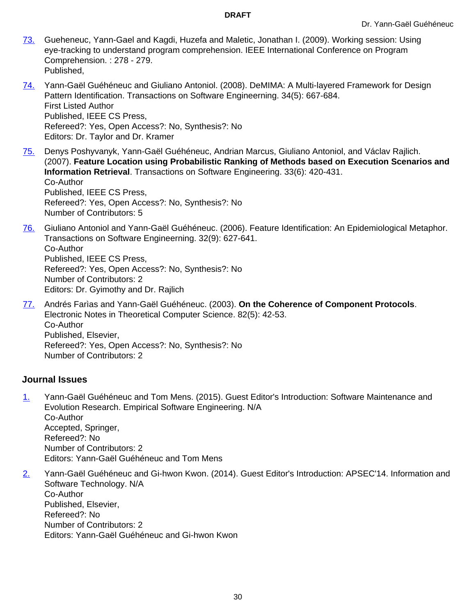- [73.](http://dx.doi.org/10.1109/ICPC.2009.5090057) Gueheneuc, Yann-Gael and Kagdi, Huzefa and Maletic, Jonathan I. (2009). Working session: Using eye-tracking to understand program comprehension. IEEE International Conference on Program Comprehension. : 278 - 279. Published,
- [74.](http://www.ptidej.net/publications/documents/TSE08.doc.pdf) Yann-Gaël Guéhéneuc and Giuliano Antoniol. (2008). DeMIMA: A Multi-layered Framework for Design Pattern Identification. Transactions on Software Engineerning. 34(5): 667-684. First Listed Author Published, IEEE CS Press, Refereed?: Yes, Open Access?: No, Synthesis?: No Editors: Dr. Taylor and Dr. Kramer
- [75.](http://www.ptidej.net/publications/documents/TSE07.doc.pdf) Denys Poshyvanyk, Yann-Gaël Guéhéneuc, Andrian Marcus, Giuliano Antoniol, and Václav Rajlich. (2007). **Feature Location using Probabilistic Ranking of Methods based on Execution Scenarios and Information Retrieval**. Transactions on Software Engineering. 33(6): 420-431. Co-Author Published, IEEE CS Press, Refereed?: Yes, Open Access?: No, Synthesis?: No Number of Contributors: 5
- [76.](http://www.ptidej.net/publications/documents/TSE06.doc.pdf) Giuliano Antoniol and Yann-Gaël Guéhéneuc. (2006). Feature Identification: An Epidemiological Metaphor. Transactions on Software Engineerning. 32(9): 627-641. Co-Author Published, IEEE CS Press, Refereed?: Yes, Open Access?: No, Synthesis?: No Number of Contributors: 2 Editors: Dr. Gyimothy and Dr. Rajlich
- [77.](http://www.ptidej.net/publications/documents/ETAPS03SC.doc.pdf) Andrés Farìas and Yann-Gaël Guéhéneuc. (2003). **On the Coherence of Component Protocols**. Electronic Notes in Theoretical Computer Science. 82(5): 42-53. Co-Author Published, Elsevier, Refereed?: Yes, Open Access?: No, Synthesis?: No Number of Contributors: 2

## **Journal Issues**

- [1.](http://www.ptidej.net/publications/documents/ICSM13EMSE15.doc.pdf) Yann-Gaël Guéhéneuc and Tom Mens. (2015). Guest Editor's Introduction: Software Maintenance and Evolution Research. Empirical Software Engineering. N/A Co-Author Accepted, Springer, Refereed?: No Number of Contributors: 2 Editors: Yann-Gaël Guéhéneuc and Tom Mens
- [2.](http://www.ptidej.net/publications/documents/APSEC14IST15.doc.pdf) Yann-Gaël Guéhéneuc and Gi-hwon Kwon. (2014). Guest Editor's Introduction: APSEC'14. Information and Software Technology. N/A Co-Author Published, Elsevier, Refereed?: No Number of Contributors: 2 Editors: Yann-Gaël Guéhéneuc and Gi-hwon Kwon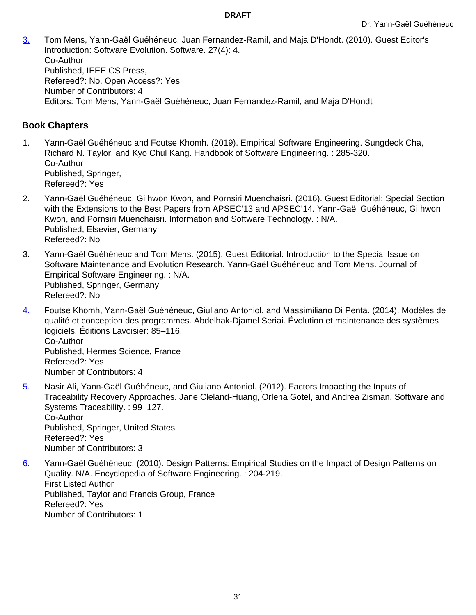[3.](http://www.ptidej.net/publications/documents/IEEESoftware10.doc.pdf) Tom Mens, Yann-Gaël Guéhéneuc, Juan Fernandez-Ramil, and Maja D'Hondt. (2010). Guest Editor's Introduction: Software Evolution. Software. 27(4): 4. Co-Author Published, IEEE CS Press, Refereed?: No, Open Access?: Yes Number of Contributors: 4 Editors: Tom Mens, Yann-Gaël Guéhéneuc, Juan Fernandez-Ramil, and Maja D'Hondt

# **Book Chapters**

- 1. Yann-Gaël Guéhéneuc and Foutse Khomh. (2019). Empirical Software Engineering. Sungdeok Cha, Richard N. Taylor, and Kyo Chul Kang. Handbook of Software Engineering. : 285-320. Co-Author Published, Springer, Refereed?: Yes
- 2. Yann-Gaël Guéhéneuc, Gi hwon Kwon, and Pornsiri Muenchaisri. (2016). Guest Editorial: Special Section with the Extensions to the Best Papers from APSEC'13 and APSEC'14. Yann-Gaël Guéhéneuc, Gi hwon Kwon, and Pornsiri Muenchaisri. Information and Software Technology. : N/A. Published, Elsevier, Germany Refereed?: No
- 3. Yann-Gaël Guéhéneuc and Tom Mens. (2015). Guest Editorial: Introduction to the Special Issue on Software Maintenance and Evolution Research. Yann-Gaël Guéhéneuc and Tom Mens. Journal of Empirical Software Engineering. : N/A. Published, Springer, Germany Refereed?: No
- [4.](http://www.ptidej.net/publications/documents/EMSL14.doc.pdf) Foutse Khomh, Yann-Gaël Guéhéneuc, Giuliano Antoniol, and Massimiliano Di Penta. (2014). Modèles de qualité et conception des programmes. Abdelhak-Djamel Seriai. Évolution et maintenance des systèmes logiciels. Éditions Lavoisier: 85–116. Co-Author Published, Hermes Science, France Refereed?: Yes Number of Contributors: 4
- [5.](http://www.ptidej.net/publications/documents/SST11.doc.pdf) Nasir Ali, Yann-Gaël Guéhéneuc, and Giuliano Antoniol. (2012). Factors Impacting the Inputs of Traceability Recovery Approaches. Jane Cleland-Huang, Orlena Gotel, and Andrea Zisman. Software and Systems Traceability. : 99–127. Co-Author Published, Springer, United States Refereed?: Yes Number of Contributors: 3
- [6.](http://www.ptidej.net/publications/documents/ESE10.doc.pdf) Yann-Gaël Guéhéneuc. (2010). Design Patterns: Empirical Studies on the Impact of Design Patterns on Quality. N/A. Encyclopedia of Software Engineering. : 204-219. First Listed Author Published, Taylor and Francis Group, France Refereed?: Yes Number of Contributors: 1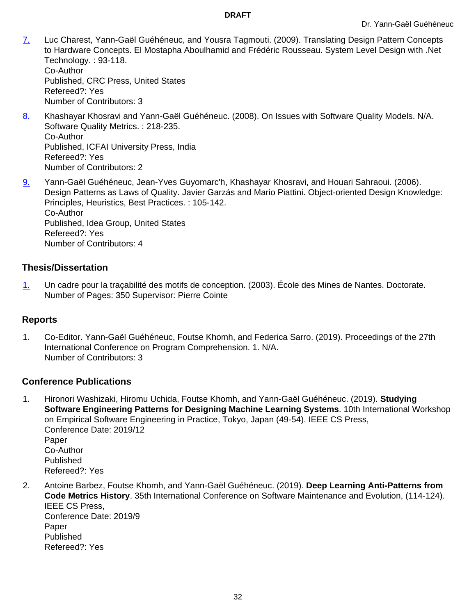- [7.](http://www.ptidej.net/publications/documents/NET09.doc.pdf) Luc Charest, Yann-Gaël Guéhéneuc, and Yousra Tagmouti. (2009). Translating Design Pattern Concepts to Hardware Concepts. El Mostapha Aboulhamid and Frédéric Rousseau. System Level Design with .Net Technology. : 93-118. Co-Author Published, CRC Press, United States Refereed?: Yes Number of Contributors: 3
- [8.](http://www.ptidej.net/publications/documents/SQM08.doc.pdf) Khashayar Khosravi and Yann-Gaël Guéhéneuc. (2008). On Issues with Software Quality Models. N/A. Software Quality Metrics. : 218-235. Co-Author Published, ICFAI University Press, India Refereed?: Yes Number of Contributors: 2
- [9.](http://www.ptidej.net/publications/documents/OODK05.doc.pdf) Yann-Gaël Guéhéneuc, Jean-Yves Guyomarc'h, Khashayar Khosravi, and Houari Sahraoui. (2006). Design Patterns as Laws of Quality. Javier Garzás and Mario Piattini. Object-oriented Design Knowledge: Principles, Heuristics, Best Practices. : 105-142. Co-Author Published, Idea Group, United States Refereed?: Yes Number of Contributors: 4

# **Thesis/Dissertation**

[1.](http://www.yann-gael.gueheneuc.net/Work/PhDThesis/) Un cadre pour la traçabilité des motifs de conception. (2003). École des Mines de Nantes. Doctorate. Number of Pages: 350 Supervisor: Pierre Cointe

## **Reports**

1. Co-Editor. Yann-Gaël Guéhéneuc, Foutse Khomh, and Federica Sarro. (2019). Proceedings of the 27th International Conference on Program Comprehension. 1. N/A. Number of Contributors: 3

## **Conference Publications**

- 1. Hironori Washizaki, Hiromu Uchida, Foutse Khomh, and Yann-Gaël Guéhéneuc. (2019). **Studying Software Engineering Patterns for Designing Machine Learning Systems**. 10th International Workshop on Empirical Software Engineering in Practice, Tokyo, Japan (49-54). IEEE CS Press, Conference Date: 2019/12 Paper Co-Author Published Refereed?: Yes
- 2. Antoine Barbez, Foutse Khomh, and Yann-Gaël Guéhéneuc. (2019). **Deep Learning Anti-Patterns from Code Metrics History**. 35th International Conference on Software Maintenance and Evolution, (114-124). IEEE CS Press, Conference Date: 2019/9 Paper

Published Refereed?: Yes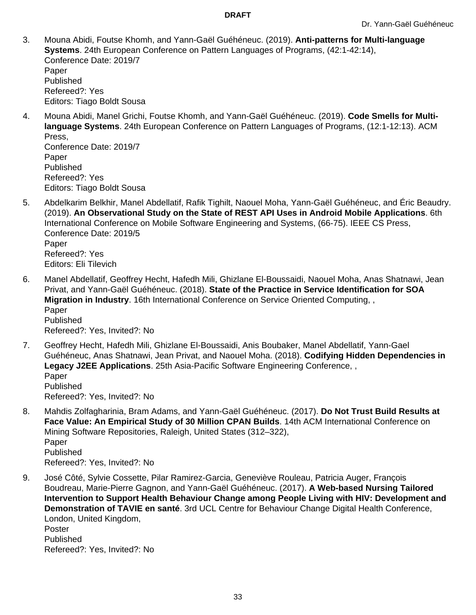- 3. Mouna Abidi, Foutse Khomh, and Yann-Gaël Guéhéneuc. (2019). **Anti-patterns for Multi-language Systems**. 24th European Conference on Pattern Languages of Programs, (42:1-42:14), Conference Date: 2019/7 Paper Published Refereed?: Yes Editors: Tiago Boldt Sousa
- 4. Mouna Abidi, Manel Grichi, Foutse Khomh, and Yann-Gaël Guéhéneuc. (2019). **Code Smells for Multilanguage Systems**. 24th European Conference on Pattern Languages of Programs, (12:1-12:13). ACM Press,

Conference Date: 2019/7 Paper Published Refereed?: Yes Editors: Tiago Boldt Sousa

- 5. Abdelkarim Belkhir, Manel Abdellatif, Rafik Tighilt, Naouel Moha, Yann-Gaël Guéhéneuc, and Éric Beaudry. (2019). **An Observational Study on the State of REST API Uses in Android Mobile Applications**. 6th International Conference on Mobile Software Engineering and Systems, (66-75). IEEE CS Press, Conference Date: 2019/5 Paper Refereed?: Yes Editors: Eli Tilevich
- 6. Manel Abdellatif, Geoffrey Hecht, Hafedh Mili, Ghizlane El-Boussaidi, Naouel Moha, Anas Shatnawi, Jean Privat, and Yann-Gaël Guéhéneuc. (2018). **State of the Practice in Service Identification for SOA Migration in Industry**. 16th International Conference on Service Oriented Computing, , Paper Published Refereed?: Yes, Invited?: No
- 7. Geoffrey Hecht, Hafedh Mili, Ghizlane El-Boussaidi, Anis Boubaker, Manel Abdellatif, Yann-Gael Guéhéneuc, Anas Shatnawi, Jean Privat, and Naouel Moha. (2018). **Codifying Hidden Dependencies in Legacy J2EE Applications**. 25th Asia-Pacific Software Engineering Conference, , Paper Published Refereed?: Yes, Invited?: No
- 8. Mahdis Zolfagharinia, Bram Adams, and Yann-Gaël Guéhéneuc. (2017). **Do Not Trust Build Results at Face Value: An Empirical Study of 30 Million CPAN Builds**. 14th ACM International Conference on Mining Software Repositories, Raleigh, United States (312–322), Paper Published Refereed?: Yes, Invited?: No
- 9. José Côté, Sylvie Cossette, Pilar Ramirez-Garcia, Geneviève Rouleau, Patricia Auger, François Boudreau, Marie-Pierre Gagnon, and Yann-Gaël Guéhéneuc. (2017). **A Web-based Nursing Tailored Intervention to Support Health Behaviour Change among People Living with HIV: Development and Demonstration of TAVIE en santé**. 3rd UCL Centre for Behaviour Change Digital Health Conference, London, United Kingdom, Poster Published Refereed?: Yes, Invited?: No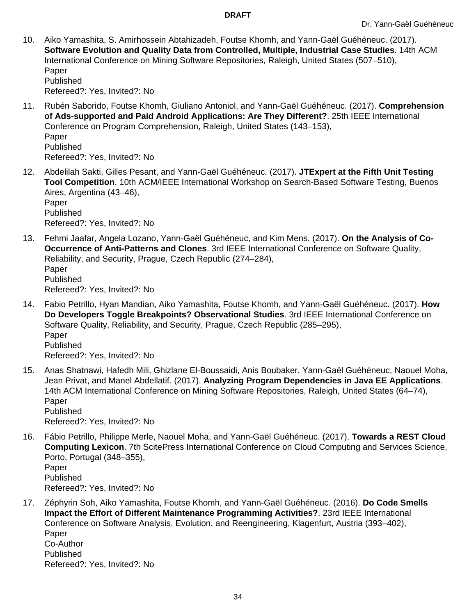- 10. Aiko Yamashita, S. Amirhossein Abtahizadeh, Foutse Khomh, and Yann-Gaël Guéhéneuc. (2017). **Software Evolution and Quality Data from Controlled, Multiple, Industrial Case Studies**. 14th ACM International Conference on Mining Software Repositories, Raleigh, United States (507–510), Paper Published Refereed?: Yes, Invited?: No
- 11. Rubén Saborido, Foutse Khomh, Giuliano Antoniol, and Yann-Gaël Guéhéneuc. (2017). **Comprehension of Ads-supported and Paid Android Applications: Are They Different?**. 25th IEEE International Conference on Program Comprehension, Raleigh, United States (143–153), Paper Published Refereed?: Yes, Invited?: No
- 12. Abdelilah Sakti, Gilles Pesant, and Yann-Gaël Guéhéneuc. (2017). **JTExpert at the Fifth Unit Testing Tool Competition**. 10th ACM/IEEE International Workshop on Search-Based Software Testing, Buenos Aires, Argentina (43–46), Paper Published Refereed?: Yes, Invited?: No
- 13. Fehmi Jaafar, Angela Lozano, Yann-Gaël Guéhéneuc, and Kim Mens. (2017). **On the Analysis of Co-Occurrence of Anti-Patterns and Clones**. 3rd IEEE International Conference on Software Quality, Reliability, and Security, Prague, Czech Republic (274–284), Paper Published Refereed?: Yes, Invited?: No
- 14. Fabio Petrillo, Hyan Mandian, Aiko Yamashita, Foutse Khomh, and Yann-Gaël Guéhéneuc. (2017). **How Do Developers Toggle Breakpoints? Observational Studies**. 3rd IEEE International Conference on Software Quality, Reliability, and Security, Prague, Czech Republic (285–295), Paper Published Refereed?: Yes, Invited?: No
- 15. Anas Shatnawi, Hafedh Mili, Ghizlane El-Boussaidi, Anis Boubaker, Yann-Gaël Guéhéneuc, Naouel Moha, Jean Privat, and Manel Abdellatif. (2017). **Analyzing Program Dependencies in Java EE Applications**. 14th ACM International Conference on Mining Software Repositories, Raleigh, United States (64–74), Paper Published Refereed?: Yes, Invited?: No
- 16. Fábio Petrillo, Philippe Merle, Naouel Moha, and Yann-Gaël Guéhéneuc. (2017). **Towards a REST Cloud Computing Lexicon**. 7th ScitePress International Conference on Cloud Computing and Services Science, Porto, Portugal (348–355), Paper Published

Refereed?: Yes, Invited?: No

17. Zéphyrin Soh, Aiko Yamashita, Foutse Khomh, and Yann-Gaël Guéhéneuc. (2016). **Do Code Smells Impact the Effort of Different Maintenance Programming Activities?**. 23rd IEEE International Conference on Software Analysis, Evolution, and Reengineering, Klagenfurt, Austria (393–402), Paper Co-Author Published Refereed?: Yes, Invited?: No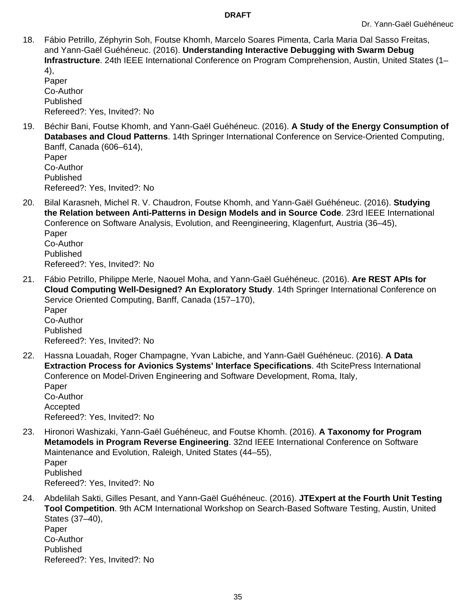18. Fábio Petrillo, Zéphyrin Soh, Foutse Khomh, Marcelo Soares Pimenta, Carla Maria Dal Sasso Freitas, and Yann-Gaël Guéhéneuc. (2016). **Understanding Interactive Debugging with Swarm Debug Infrastructure**. 24th IEEE International Conference on Program Comprehension, Austin, United States (1– 4),

Paper Co-Author Published Refereed?: Yes, Invited?: No

19. Béchir Bani, Foutse Khomh, and Yann-Gaël Guéhéneuc. (2016). **A Study of the Energy Consumption of Databases and Cloud Patterns**. 14th Springer International Conference on Service-Oriented Computing, Banff, Canada (606–614),

Paper Co-Author Published Refereed?: Yes, Invited?: No

20. Bilal Karasneh, Michel R. V. Chaudron, Foutse Khomh, and Yann-Gaël Guéhéneuc. (2016). **Studying the Relation between Anti-Patterns in Design Models and in Source Code**. 23rd IEEE International Conference on Software Analysis, Evolution, and Reengineering, Klagenfurt, Austria (36–45), Paper Co-Author Published

Refereed?: Yes, Invited?: No

- 21. Fábio Petrillo, Philippe Merle, Naouel Moha, and Yann-Gaël Guéhéneuc. (2016). **Are REST APIs for Cloud Computing Well-Designed? An Exploratory Study**. 14th Springer International Conference on Service Oriented Computing, Banff, Canada (157–170), Paper Co-Author Published Refereed?: Yes, Invited?: No
- 22. Hassna Louadah, Roger Champagne, Yvan Labiche, and Yann-Gaël Guéhéneuc. (2016). **A Data Extraction Process for Avionics Systems' Interface Specifications**. 4th ScitePress International Conference on Model-Driven Engineering and Software Development, Roma, Italy, Paper Co-Author Accepted Refereed?: Yes, Invited?: No
- 23. Hironori Washizaki, Yann-Gaël Guéhéneuc, and Foutse Khomh. (2016). **A Taxonomy for Program Metamodels in Program Reverse Engineering**. 32nd IEEE International Conference on Software Maintenance and Evolution, Raleigh, United States (44–55), Paper Published Refereed?: Yes, Invited?: No
- 24. Abdelilah Sakti, Gilles Pesant, and Yann-Gaël Guéhéneuc. (2016). **JTExpert at the Fourth Unit Testing Tool Competition**. 9th ACM International Workshop on Search-Based Software Testing, Austin, United States (37–40),

Paper Co-Author Published Refereed?: Yes, Invited?: No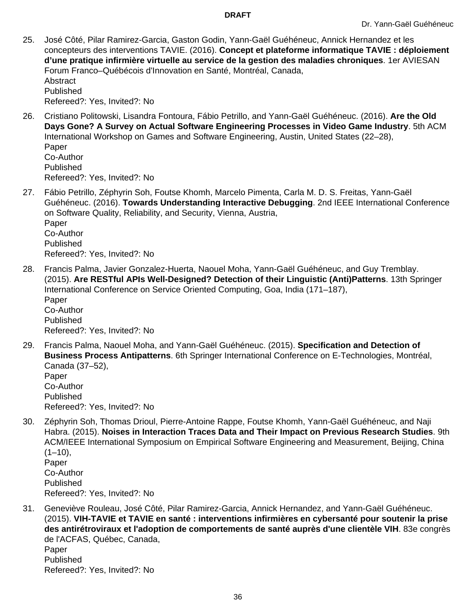- 25. José Côté, Pilar Ramirez-Garcia, Gaston Godin, Yann-Gaël Guéhéneuc, Annick Hernandez et les concepteurs des interventions TAVIE. (2016). **Concept et plateforme informatique TAVIE : déploiement d'une pratique infirmière virtuelle au service de la gestion des maladies chroniques**. 1er AVIESAN Forum Franco–Québécois d'Innovation en Santé, Montréal, Canada, Abstract Published Refereed?: Yes, Invited?: No
- 26. Cristiano Politowski, Lisandra Fontoura, Fábio Petrillo, and Yann-Gaël Guéhéneuc. (2016). **Are the Old Days Gone? A Survey on Actual Software Engineering Processes in Video Game Industry**. 5th ACM International Workshop on Games and Software Engineering, Austin, United States (22–28), Paper Co-Author Published Refereed?: Yes, Invited?: No
- 27. Fábio Petrillo, Zéphyrin Soh, Foutse Khomh, Marcelo Pimenta, Carla M. D. S. Freitas, Yann-Gaël Guéhéneuc. (2016). **Towards Understanding Interactive Debugging**. 2nd IEEE International Conference on Software Quality, Reliability, and Security, Vienna, Austria, Paper Co-Author Published Refereed?: Yes, Invited?: No
- 28. Francis Palma, Javier Gonzalez-Huerta, Naouel Moha, Yann-Gaël Guéhéneuc, and Guy Tremblay. (2015). **Are RESTful APIs Well-Designed? Detection of their Linguistic (Anti)Patterns**. 13th Springer International Conference on Service Oriented Computing, Goa, India (171–187), Paper Co-Author Published Refereed?: Yes, Invited?: No
- 29. Francis Palma, Naouel Moha, and Yann-Gaël Guéhéneuc. (2015). **Specification and Detection of Business Process Antipatterns**. 6th Springer International Conference on E-Technologies, Montréal, Canada (37–52),

Paper Co-Author Published Refereed?: Yes, Invited?: No

30. Zéphyrin Soh, Thomas Drioul, Pierre-Antoine Rappe, Foutse Khomh, Yann-Gaël Guéhéneuc, and Naji Habra. (2015). **Noises in Interaction Traces Data and Their Impact on Previous Research Studies**. 9th ACM/IEEE International Symposium on Empirical Software Engineering and Measurement, Beijing, China  $(1-10)$ , Paper Co-Author Published

Refereed?: Yes, Invited?: No

31. Geneviève Rouleau, José Côté, Pilar Ramirez-Garcia, Annick Hernandez, and Yann-Gaël Guéhéneuc. (2015). **VIH-TAVIE et TAVIE en santé : interventions infirmières en cybersanté pour soutenir la prise des antirétroviraux et l'adoption de comportements de santé auprès d'une clientèle VIH**. 83e congrès de l'ACFAS, Québec, Canada, Paper Published

Refereed?: Yes, Invited?: No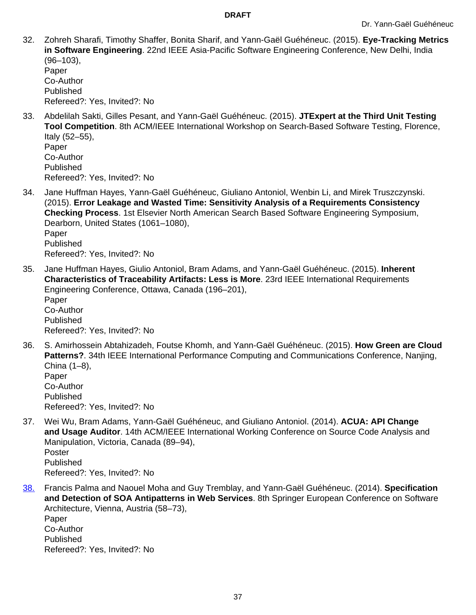- 32. Zohreh Sharafi, Timothy Shaffer, Bonita Sharif, and Yann-Gaël Guéhéneuc. (2015). **Eye-Tracking Metrics in Software Engineering**. 22nd IEEE Asia-Pacific Software Engineering Conference, New Delhi, India (96–103), Paper
	- Co-Author Published Refereed?: Yes, Invited?: No
- 33. Abdelilah Sakti, Gilles Pesant, and Yann-Gaël Guéhéneuc. (2015). **JTExpert at the Third Unit Testing Tool Competition**. 8th ACM/IEEE International Workshop on Search-Based Software Testing, Florence, Italy (52–55),

Paper Co-Author Published Refereed?: Yes, Invited?: No

34. Jane Huffman Hayes, Yann-Gaël Guéhéneuc, Giuliano Antoniol, Wenbin Li, and Mirek Truszczynski. (2015). **Error Leakage and Wasted Time: Sensitivity Analysis of a Requirements Consistency Checking Process**. 1st Elsevier North American Search Based Software Engineering Symposium, Dearborn, United States (1061–1080), Paper Published

Refereed?: Yes, Invited?: No

- 35. Jane Huffman Hayes, Giulio Antoniol, Bram Adams, and Yann-Gaël Guéhéneuc. (2015). **Inherent Characteristics of Traceability Artifacts: Less is More**. 23rd IEEE International Requirements Engineering Conference, Ottawa, Canada (196–201), Paper Co-Author Published Refereed?: Yes, Invited?: No
- 36. S. Amirhossein Abtahizadeh, Foutse Khomh, and Yann-Gaël Guéhéneuc. (2015). **How Green are Cloud Patterns?**. 34th IEEE International Performance Computing and Communications Conference, Nanjing, China (1–8),

Paper Co-Author Published Refereed?: Yes, Invited?: No

37. Wei Wu, Bram Adams, Yann-Gaël Guéhéneuc, and Giuliano Antoniol. (2014). **ACUA: API Change and Usage Auditor**. 14th ACM/IEEE International Working Conference on Source Code Analysis and Manipulation, Victoria, Canada (89–94), Poster Published

Refereed?: Yes, Invited?: No

[38.](http://dx.doi.org/10.1007/978-3-319-09970-5-6) Francis Palma and Naouel Moha and Guy Tremblay, and Yann-Gaël Guéhéneuc. (2014). **Specification and Detection of SOA Antipatterns in Web Services**. 8th Springer European Conference on Software Architecture, Vienna, Austria (58–73),

Paper Co-Author Published Refereed?: Yes, Invited?: No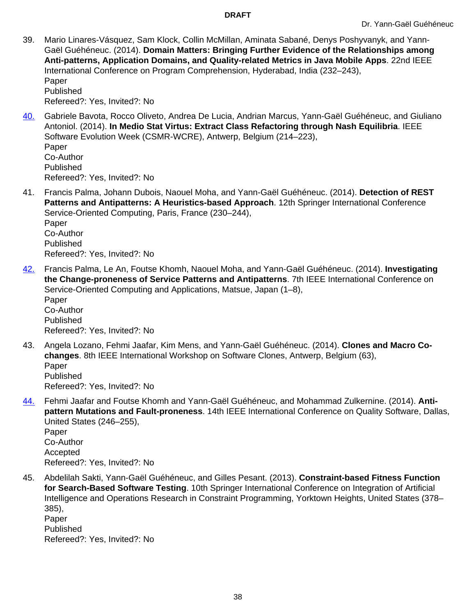- 39. Mario Linares-Vásquez, Sam Klock, Collin McMillan, Aminata Sabané, Denys Poshyvanyk, and Yann-Gaël Guéhéneuc. (2014). **Domain Matters: Bringing Further Evidence of the Relationships among Anti-patterns, Application Domains, and Quality-related Metrics in Java Mobile Apps**. 22nd IEEE International Conference on Program Comprehension, Hyderabad, India (232–243), Paper Published Refereed?: Yes, Invited?: No
- [40.](http://dx.doi.org/10.1109/CSMR-WCRE.2014.6747173) Gabriele Bavota, Rocco Oliveto, Andrea De Lucia, Andrian Marcus, Yann-Gaël Guéhéneuc, and Giuliano Antoniol. (2014). **In Medio Stat Virtus: Extract Class Refactoring through Nash Equilibria**. IEEE Software Evolution Week (CSMR-WCRE), Antwerp, Belgium (214–223), Paper Co-Author Published Refereed?: Yes, Invited?: No
- 41. Francis Palma, Johann Dubois, Naouel Moha, and Yann-Gaël Guéhéneuc. (2014). **Detection of REST Patterns and Antipatterns: A Heuristics-based Approach**. 12th Springer International Conference Service-Oriented Computing, Paris, France (230–244), Paper Co-Author

Published Refereed?: Yes, Invited?: No

- [42.](http://dx.doi.org/10.1109/SOCA.2014.43) Francis Palma, Le An, Foutse Khomh, Naouel Moha, and Yann-Gaël Guéhéneuc. (2014). **Investigating the Change-proneness of Service Patterns and Antipatterns**. 7th IEEE International Conference on Service-Oriented Computing and Applications, Matsue, Japan (1–8), Paper Co-Author Published Refereed?: Yes, Invited?: No
- 43. Angela Lozano, Fehmi Jaafar, Kim Mens, and Yann-Gaël Guéhéneuc. (2014). **Clones and Macro Cochanges**. 8th IEEE International Workshop on Software Clones, Antwerp, Belgium (63), Paper Published Refereed?: Yes, Invited?: No
- [44.](http://dx.doi.org/10.1109/QSIC.2014.45) Fehmi Jaafar and Foutse Khomh and Yann-Gaël Guéhéneuc, and Mohammad Zulkernine. (2014). **Antipattern Mutations and Fault-proneness**. 14th IEEE International Conference on Quality Software, Dallas, United States (246–255), Paper Co-Author

Accepted Refereed?: Yes, Invited?: No

45. Abdelilah Sakti, Yann-Gaël Guéhéneuc, and Gilles Pesant. (2013). **Constraint-based Fitness Function for Search-Based Software Testing**. 10th Springer International Conference on Integration of Artificial Intelligence and Operations Research in Constraint Programming, Yorktown Heights, United States (378– 385), Paper

Published Refereed?: Yes, Invited?: No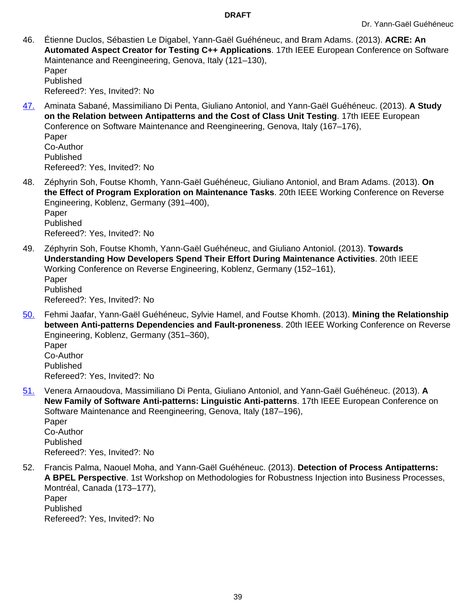- 46. Étienne Duclos, Sébastien Le Digabel, Yann-Gaël Guéhéneuc, and Bram Adams. (2013). **ACRE: An Automated Aspect Creator for Testing C++ Applications**. 17th IEEE European Conference on Software Maintenance and Reengineering, Genova, Italy (121–130), Paper Published Refereed?: Yes, Invited?: No
- [47.](http://dx.doi.org/10.1109/CSMR.2013.26) Aminata Sabané, Massimiliano Di Penta, Giuliano Antoniol, and Yann-Gaël Guéhéneuc. (2013). **A Study on the Relation between Antipatterns and the Cost of Class Unit Testing**. 17th IEEE European Conference on Software Maintenance and Reengineering, Genova, Italy (167–176), Paper Co-Author Published Refereed?: Yes, Invited?: No
- 48. Zéphyrin Soh, Foutse Khomh, Yann-Gaël Guéhéneuc, Giuliano Antoniol, and Bram Adams. (2013). **On the Effect of Program Exploration on Maintenance Tasks**. 20th IEEE Working Conference on Reverse Engineering, Koblenz, Germany (391–400), Paper Published Refereed?: Yes, Invited?: No
- 49. Zéphyrin Soh, Foutse Khomh, Yann-Gaël Guéhéneuc, and Giuliano Antoniol. (2013). **Towards Understanding How Developers Spend Their Effort During Maintenance Activities**. 20th IEEE Working Conference on Reverse Engineering, Koblenz, Germany (152–161), Paper Published Refereed?: Yes, Invited?: No
- [50.](http://dx.doi.org/10.1109/WCRE.2013.6671310) Fehmi Jaafar, Yann-Gaël Guéhéneuc, Sylvie Hamel, and Foutse Khomh. (2013). **Mining the Relationship between Anti-patterns Dependencies and Fault-proneness**. 20th IEEE Working Conference on Reverse Engineering, Koblenz, Germany (351–360),

Paper Co-Author Published Refereed?: Yes, Invited?: No

- [51.](http://dx.doi.org/10.1109/CSMR.2013.28) Venera Arnaoudova, Massimiliano Di Penta, Giuliano Antoniol, and Yann-Gaël Guéhéneuc. (2013). **A New Family of Software Anti-patterns: Linguistic Anti-patterns**. 17th IEEE European Conference on Software Maintenance and Reengineering, Genova, Italy (187–196), Paper Co-Author Published Refereed?: Yes, Invited?: No
- 52. Francis Palma, Naouel Moha, and Yann-Gaël Guéhéneuc. (2013). **Detection of Process Antipatterns: A BPEL Perspective**. 1st Workshop on Methodologies for Robustness Injection into Business Processes, Montréal, Canada (173–177), Paper Published Refereed?: Yes, Invited?: No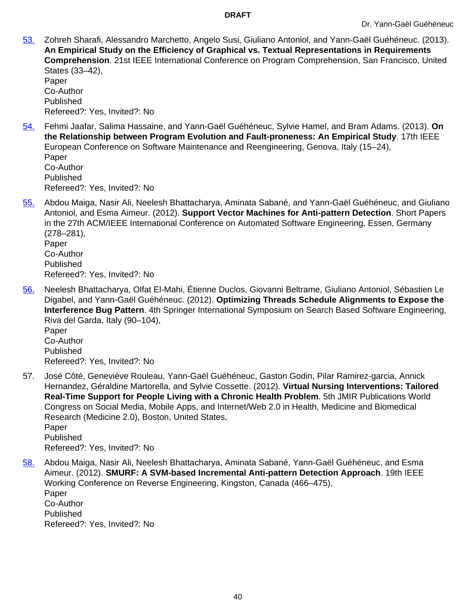[53.](http://dx.doi.org/10.1109/ICPC.2013.6613831) Zohreh Sharafi, Alessandro Marchetto, Angelo Susi, Giuliano Antoniol, and Yann-Gaël Guéhéneuc. (2013). **An Empirical Study on the Efficiency of Graphical vs. Textual Representations in Requirements Comprehension**. 21st IEEE International Conference on Program Comprehension, San Francisco, United States (33–42),

Paper Co-Author Published Refereed?: Yes, Invited?: No

[54.](http://dx.doi.org/10.1109/CSMR.2013.12) Fehmi Jaafar, Salima Hassaine, and Yann-Gaël Guéhéneuc, Sylvie Hamel, and Bram Adams. (2013). **On the Relationship between Program Evolution and Fault-proneness: An Empirical Study**. 17th IEEE European Conference on Software Maintenance and Reengineering, Genova, Italy (15–24), Paper

Co-Author Published Refereed?: Yes, Invited?: No

[55.](http://dx.doi.org/10.1145/2351676.2351723) Abdou Maiga, Nasir Ali, Neelesh Bhattacharya, Aminata Sabané, and Yann-Gaël Guéhéneuc, and Giuliano Antoniol, and Esma Aimeur. (2012). **Support Vector Machines for Anti-pattern Detection**. Short Papers in the 27th ACM/IEEE International Conference on Automated Software Engineering, Essen, Germany (278–281),

Paper Co-Author Published Refereed?: Yes, Invited?: No

[56.](http://dx.doi.org/10.1007/978-3-642-33119-0_8) Neelesh Bhattacharya, Olfat El-Mahi, Étienne Duclos, Giovanni Beltrame, Giuliano Antoniol, Sébastien Le Digabel, and Yann-Gaël Guéhéneuc. (2012). **Optimizing Threads Schedule Alignments to Expose the Interference Bug Pattern**. 4th Springer International Symposium on Search Based Software Engineering, Riva del Garda, Italy (90–104),

Paper Co-Author Published Refereed?: Yes, Invited?: No

57. José Côté, Geneviève Rouleau, Yann-Gaël Guéhéneuc, Gaston Godin, Pilar Ramirez-garcia, Annick Hernandez, Géraldine Martorella, and Sylvie Cossette. (2012). **Virtual Nursing Interventions: Tailored Real-Time Support for People Living with a Chronic Health Problem**. 5th JMIR Publications World Congress on Social Media, Mobile Apps, and Internet/Web 2.0 in Health, Medicine and Biomedical Research (Medicine 2.0), Boston, United States, Paper Published

Refereed?: Yes, Invited?: No

[58.](http://dx.doi.org/10.1109/WCRE.2012.56) Abdou Maiga, Nasir Ali, Neelesh Bhattacharya, Aminata Sabané, Yann-Gaël Guéhéneuc, and Esma Aimeur. (2012). **SMURF: A SVM-based Incremental Anti-pattern Detection Approach**. 19th IEEE Working Conference on Reverse Engineering, Kingston, Canada (466–475), Paper Co-Author Published Refereed?: Yes, Invited?: No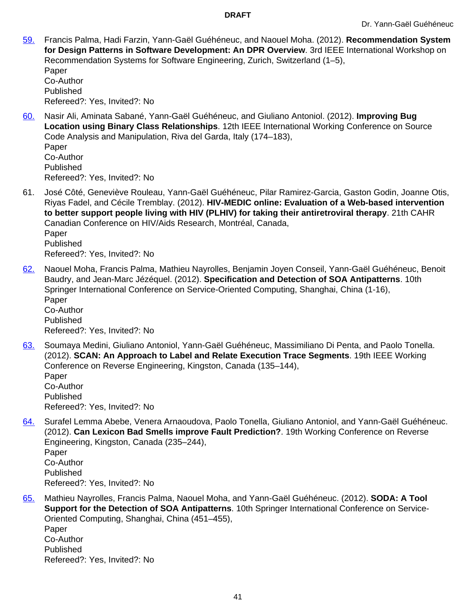- [59.](http://dx.doi.org/10.1109/RSSE.2012.6233399) Francis Palma, Hadi Farzin, Yann-Gaël Guéhéneuc, and Naouel Moha. (2012). **Recommendation System for Design Patterns in Software Development: An DPR Overview**. 3rd IEEE International Workshop on Recommendation Systems for Software Engineering, Zurich, Switzerland (1–5), Paper Co-Author Published Refereed?: Yes, Invited?: No
- [60.](http://dx.doi.org/10.1109/SCAM.2012.26) Nasir Ali, Aminata Sabané, Yann-Gaël Guéhéneuc, and Giuliano Antoniol. (2012). **Improving Bug Location using Binary Class Relationships**. 12th IEEE International Working Conference on Source Code Analysis and Manipulation, Riva del Garda, Italy (174–183), Paper Co-Author Published Refereed?: Yes, Invited?: No
- 61. José Côté, Geneviève Rouleau, Yann-Gaël Guéhéneuc, Pilar Ramirez-Garcia, Gaston Godin, Joanne Otis, Riyas Fadel, and Cécile Tremblay. (2012). **HIV-MEDIC online: Evaluation of a Web-based intervention to better support people living with HIV (PLHIV) for taking their antiretroviral therapy**. 21th CAHR Canadian Conference on HIV/Aids Research, Montréal, Canada, Paper Published

Refereed?: Yes, Invited?: No

- [62.](http://dx.doi.org/10.1007/978-3-642-34321-6-1) Naouel Moha, Francis Palma, Mathieu Nayrolles, Benjamin Joyen Conseil, Yann-Gaël Guéhéneuc, Benoit Baudry, and Jean-Marc Jézéquel. (2012). **Specification and Detection of SOA Antipatterns**. 10th Springer International Conference on Service-Oriented Computing, Shanghai, China (1-16), Paper Co-Author Published Refereed?: Yes, Invited?: No
- [63.](http://dx.doi.org/10.1109/WCRE.2012.23) Soumaya Medini, Giuliano Antoniol, Yann-Gaël Guéhéneuc, Massimiliano Di Penta, and Paolo Tonella. (2012). **SCAN: An Approach to Label and Relate Execution Trace Segments**. 19th IEEE Working Conference on Reverse Engineering, Kingston, Canada (135–144), Paper

Co-Author Published Refereed?: Yes, Invited?: No

[64.](http://dx.doi.org/10.1109/WCRE.2012.33) Surafel Lemma Abebe, Venera Arnaoudova, Paolo Tonella, Giuliano Antoniol, and Yann-Gaël Guéhéneuc. (2012). **Can Lexicon Bad Smells improve Fault Prediction?**. 19th Working Conference on Reverse Engineering, Kingston, Canada (235–244),

Paper Co-Author Published Refereed?: Yes, Invited?: No

[65.](http://dx.doi.org/10.1007/978-3-642-37804-1_51) Mathieu Nayrolles, Francis Palma, Naouel Moha, and Yann-Gaël Guéhéneuc. (2012). **SODA: A Tool Support for the Detection of SOA Antipatterns**. 10th Springer International Conference on Service-Oriented Computing, Shanghai, China (451–455), Paper Co-Author Published Refereed?: Yes, Invited?: No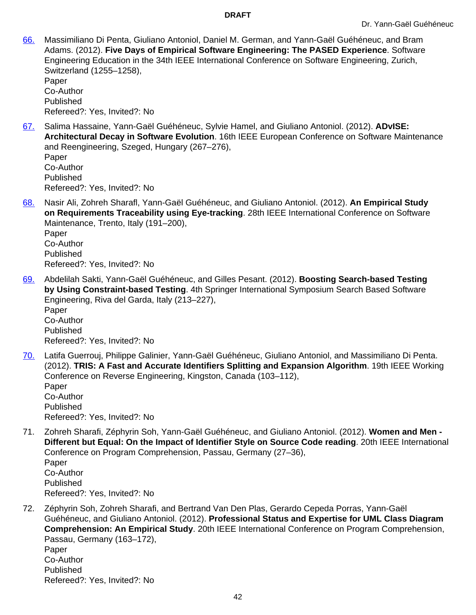[66.](http://dx.doi.org/10.1109/ICSE.2012.6227017) Massimiliano Di Penta, Giuliano Antoniol, Daniel M. German, and Yann-Gaël Guéhéneuc, and Bram Adams. (2012). **Five Days of Empirical Software Engineering: The PASED Experience**. Software Engineering Education in the 34th IEEE International Conference on Software Engineering, Zurich, Switzerland (1255–1258),

Paper Co-Author Published Refereed?: Yes, Invited?: No

[67.](http://dx.doi.org/10.1109/CSMR.2012.34) Salima Hassaine, Yann-Gaël Guéhéneuc, Sylvie Hamel, and Giuliano Antoniol. (2012). **ADvISE: Architectural Decay in Software Evolution**. 16th IEEE European Conference on Software Maintenance and Reengineering, Szeged, Hungary (267–276),

```
Paper
Co-Author
Published
Refereed?: Yes, Invited?: No
```
[68.](http://dx.doi.org/10.1109/ICSM.2012.6405271) Nasir Ali, Zohreh Sharafl, Yann-Gaël Guéhéneuc, and Giuliano Antoniol. (2012). **An Empirical Study on Requirements Traceability using Eye-tracking**. 28th IEEE International Conference on Software Maintenance, Trento, Italy (191–200), Paper

Co-Author Published Refereed?: Yes, Invited?: No

- [69.](http://dx.doi.org/10.1007/978-3-642-33119-0_16) Abdelilah Sakti, Yann-Gaël Guéhéneuc, and Gilles Pesant. (2012). **Boosting Search-based Testing by Using Constraint-based Testing**. 4th Springer International Symposium Search Based Software Engineering, Riva del Garda, Italy (213–227), Paper Co-Author Published Refereed?: Yes, Invited?: No
- [70.](http://dx.doi.org/10.1109/WCRE.2012.20) Latifa Guerrouj, Philippe Galinier, Yann-Gaël Guéhéneuc, Giuliano Antoniol, and Massimiliano Di Penta. (2012). **TRIS: A Fast and Accurate Identifiers Splitting and Expansion Algorithm**. 19th IEEE Working Conference on Reverse Engineering, Kingston, Canada (103–112), Paper Co-Author Published

Refereed?: Yes, Invited?: No

- 71. Zohreh Sharafi, Zéphyrin Soh, Yann-Gaël Guéhéneuc, and Giuliano Antoniol. (2012). **Women and Men - Different but Equal: On the Impact of Identifier Style on Source Code reading**. 20th IEEE International Conference on Program Comprehension, Passau, Germany (27–36), Paper Co-Author Published Refereed?: Yes, Invited?: No
- 72. Zéphyrin Soh, Zohreh Sharafi, and Bertrand Van Den Plas, Gerardo Cepeda Porras, Yann-Gaël Guéhéneuc, and Giuliano Antoniol. (2012). **Professional Status and Expertise for UML Class Diagram Comprehension: An Empirical Study**. 20th IEEE International Conference on Program Comprehension, Passau, Germany (163–172), Paper Co-Author Published Refereed?: Yes, Invited?: No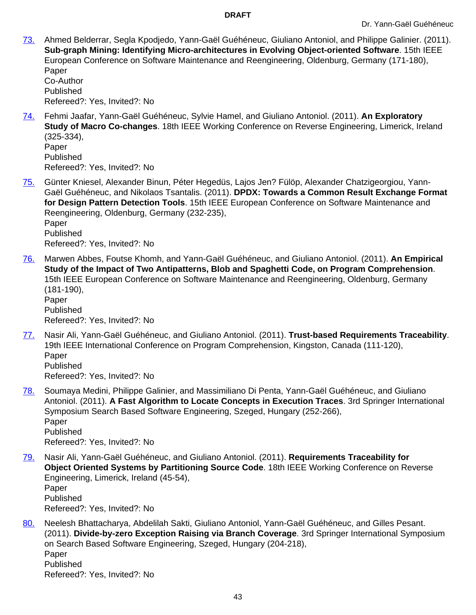- [73.](http://dx.doi.org/10.1109/CSMR.2011.23) Ahmed Belderrar, Segla Kpodjedo, Yann-Gaël Guéhéneuc, Giuliano Antoniol, and Philippe Galinier. (2011). **Sub-graph Mining: Identifying Micro-architectures in Evolving Object-oriented Software**. 15th IEEE European Conference on Software Maintenance and Reengineering, Oldenburg, Germany (171-180), Paper
	- Co-Author Published Refereed?: Yes, Invited?: No
- [74.](http://dx.doi.org/10.1109/WCRE.2011.47) Fehmi Jaafar, Yann-Gaël Guéhéneuc, Sylvie Hamel, and Giuliano Antoniol. (2011). **An Exploratory Study of Macro Co-changes**. 18th IEEE Working Conference on Reverse Engineering, Limerick, Ireland (325-334),

Paper Published Refereed?: Yes, Invited?: No

[75.](http://dx.doi.org/10.1109/CSMR.2010.40) Günter Kniesel, Alexander Binun, Péter Hegedüs, Lajos Jen? Fülöp, Alexander Chatzigeorgiou, Yann-Gaël Guéhéneuc, and Nikolaos Tsantalis. (2011). **DPDX: Towards a Common Result Exchange Format for Design Pattern Detection Tools**. 15th IEEE European Conference on Software Maintenance and Reengineering, Oldenburg, Germany (232-235), Paper Published

Refereed?: Yes, Invited?: No

[76.](http://dx.doi.org/10.1109/CSMR.2011.24) Marwen Abbes, Foutse Khomh, and Yann-Gaël Guéhéneuc, and Giuliano Antoniol. (2011). **An Empirical Study of the Impact of Two Antipatterns, Blob and Spaghetti Code, on Program Comprehension**. 15th IEEE European Conference on Software Maintenance and Reengineering, Oldenburg, Germany (181-190), Paper Published

Refereed?: Yes, Invited?: No

- [77.](http://dx.doi.org/10.1109/ICPC.2011.42) Nasir Ali, Yann-Gaël Guéhéneuc, and Giuliano Antoniol. (2011). **Trust-based Requirements Traceability**. 19th IEEE International Conference on Program Comprehension, Kingston, Canada (111-120), Paper Published Refereed?: Yes, Invited?: No
- [78.](http://dx.doi.org/10.1007/978-3-642-23716-4_22) Soumaya Medini, Philippe Galinier, and Massimiliano Di Penta, Yann-Gaël Guéhéneuc, and Giuliano Antoniol. (2011). **A Fast Algorithm to Locate Concepts in Execution Traces**. 3rd Springer International Symposium Search Based Software Engineering, Szeged, Hungary (252-266), Paper Published Refereed?: Yes, Invited?: No
- [79.](http://dx.doi.org/10.1109/WCRE.2011.16) Nasir Ali, Yann-Gaël Guéhéneuc, and Giuliano Antoniol. (2011). **Requirements Traceability for Object Oriented Systems by Partitioning Source Code**. 18th IEEE Working Conference on Reverse Engineering, Limerick, Ireland (45-54),

Paper Published Refereed?: Yes, Invited?: No

[80.](http://dx.doi.org/10.1007/978-3-642-23716-4_19) Neelesh Bhattacharya, Abdelilah Sakti, Giuliano Antoniol, Yann-Gaël Guéhéneuc, and Gilles Pesant. (2011). **Divide-by-zero Exception Raising via Branch Coverage**. 3rd Springer International Symposium on Search Based Software Engineering, Szeged, Hungary (204-218), Paper Published Refereed?: Yes, Invited?: No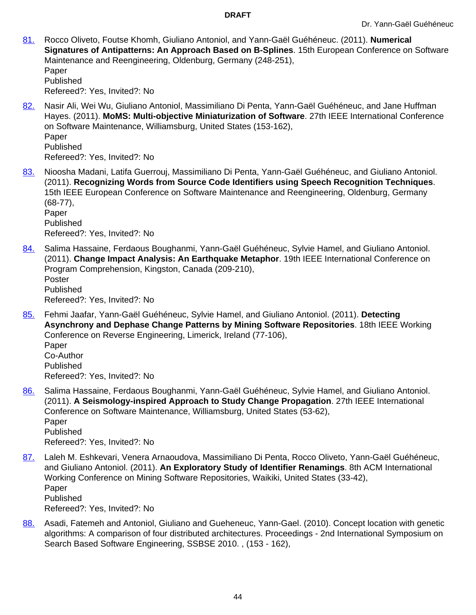- [81.](http://dx.doi.org/10.1109/CSMR.2010.47) Rocco Oliveto, Foutse Khomh, Giuliano Antoniol, and Yann-Gaël Guéhéneuc. (2011). **Numerical Signatures of Antipatterns: An Approach Based on B-Splines**. 15th European Conference on Software Maintenance and Reengineering, Oldenburg, Germany (248-251), Paper Published Refereed?: Yes, Invited?: No
- [82.](http://dx.doi.org/10.1109/ICSM.2011.6080782) Nasir Ali, Wei Wu, Giuliano Antoniol, Massimiliano Di Penta, Yann-Gaël Guéhéneuc, and Jane Huffman Hayes. (2011). **MoMS: Multi-objective Miniaturization of Software**. 27th IEEE International Conference on Software Maintenance, Williamsburg, United States (153-162), Paper Published Refereed?: Yes, Invited?: No
- [83.](http://dx.doi.org/10.1109/CSMR.2010.31) Nioosha Madani, Latifa Guerrouj, Massimiliano Di Penta, Yann-Gaël Guéhéneuc, and Giuliano Antoniol. (2011). **Recognizing Words from Source Code Identifiers using Speech Recognition Techniques**. 15th IEEE European Conference on Software Maintenance and Reengineering, Oldenburg, Germany (68-77), Paper

Published Refereed?: Yes, Invited?: No

- [84.](http://dx.doi.org/10.1109/ICPC.2011.54) Salima Hassaine, Ferdaous Boughanmi, Yann-Gaël Guéhéneuc, Sylvie Hamel, and Giuliano Antoniol. (2011). **Change Impact Analysis: An Earthquake Metaphor**. 19th IEEE International Conference on Program Comprehension, Kingston, Canada (209-210), Poster Published Refereed?: Yes, Invited?: No
- [85.](http://dx.doi.org/10.1002/smr.1635) Fehmi Jaafar, Yann-Gaël Guéhéneuc, Sylvie Hamel, and Giuliano Antoniol. (2011). **Detecting Asynchrony and Dephase Change Patterns by Mining Software Repositories**. 18th IEEE Working Conference on Reverse Engineering, Limerick, Ireland (77-106), Paper Co-Author Published Refereed?: Yes, Invited?: No
- [86.](http://dx.doi.org/10.1109/ICSM.2011.6080772) Salima Hassaine, Ferdaous Boughanmi, Yann-Gaël Guéhéneuc, Sylvie Hamel, and Giuliano Antoniol. (2011). **A Seismology-inspired Approach to Study Change Propagation**. 27th IEEE International Conference on Software Maintenance, Williamsburg, United States (53-62), Paper Published Refereed?: Yes, Invited?: No
- [87.](http://dx.doi.org/10.1145/1985441.1985449) Laleh M. Eshkevari, Venera Arnaoudova, Massimiliano Di Penta, Rocco Oliveto, Yann-Gaël Guéhéneuc, and Giuliano Antoniol. (2011). **An Exploratory Study of Identifier Renamings**. 8th ACM International Working Conference on Mining Software Repositories, Waikiki, United States (33-42), Paper Published Refereed?: Yes, Invited?: No
- [88.](http://dx.doi.org/10.1109/SSBSE.2010.26) Asadi, Fatemeh and Antoniol, Giuliano and Gueheneuc, Yann-Gael. (2010). Concept location with genetic algorithms: A comparison of four distributed architectures. Proceedings - 2nd International Symposium on Search Based Software Engineering, SSBSE 2010. , (153 - 162),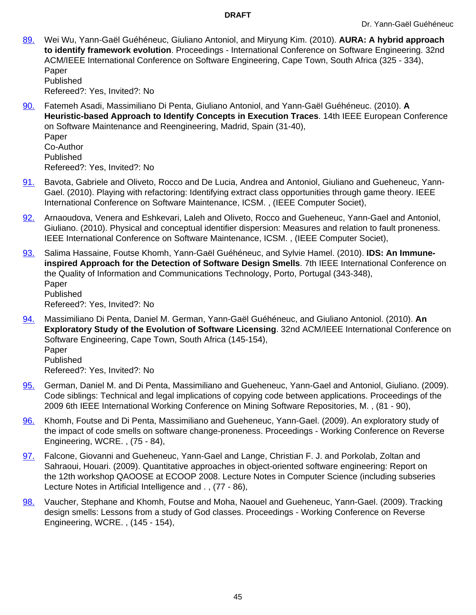[89.](http://dx.doi.org/10.1145/1806799.1806848) Wei Wu, Yann-Gaël Guéhéneuc, Giuliano Antoniol, and Miryung Kim. (2010). **AURA: A hybrid approach to identify framework evolution**. Proceedings - International Conference on Software Engineering. 32nd ACM/IEEE International Conference on Software Engineering, Cape Town, South Africa (325 - 334), Paper Published

Refereed?: Yes, Invited?: No

[90.](http://dx.doi.org/10.1109/CSMR.2010.17) Fatemeh Asadi, Massimiliano Di Penta, Giuliano Antoniol, and Yann-Gaël Guéhéneuc. (2010). **A Heuristic-based Approach to Identify Concepts in Execution Traces**. 14th IEEE European Conference on Software Maintenance and Reengineering, Madrid, Spain (31-40), Paper Co-Author Published

Refereed?: Yes, Invited?: No

- [91.](http://dx.doi.org/10.1109/ICSM.2010.5609739) Bavota, Gabriele and Oliveto, Rocco and De Lucia, Andrea and Antoniol, Giuliano and Gueheneuc, Yann-Gael. (2010). Playing with refactoring: Identifying extract class opportunities through game theory. IEEE International Conference on Software Maintenance, ICSM. , (IEEE Computer Societ),
- [92.](http://dx.doi.org/10.1109/ICSM.2010.5609748) Arnaoudova, Venera and Eshkevari, Laleh and Oliveto, Rocco and Gueheneuc, Yann-Gael and Antoniol, Giuliano. (2010). Physical and conceptual identifier dispersion: Measures and relation to fault proneness. IEEE International Conference on Software Maintenance, ICSM. , (IEEE Computer Societ),
- [93.](http://dx.doi.org/10.1109/QUATIC.2010.61) Salima Hassaine, Foutse Khomh, Yann-Gaël Guéhéneuc, and Sylvie Hamel. (2010). **IDS: An Immuneinspired Approach for the Detection of Software Design Smells**. 7th IEEE International Conference on the Quality of Information and Communications Technology, Porto, Portugal (343-348), Paper Published Refereed?: Yes, Invited?: No
- [94.](http://dx.doi.org/10.1145/1806799.1806824) Massimiliano Di Penta, Daniel M. German, Yann-Gaël Guéhéneuc, and Giuliano Antoniol. (2010). **An Exploratory Study of the Evolution of Software Licensing**. 32nd ACM/IEEE International Conference on Software Engineering, Cape Town, South Africa (145-154), Paper Published Refereed?: Yes, Invited?: No
- [95.](http://dx.doi.org/10.1109/MSR.2009.5069483) German, Daniel M. and Di Penta, Massimiliano and Gueheneuc, Yann-Gael and Antoniol, Giuliano. (2009). Code siblings: Technical and legal implications of copying code between applications. Proceedings of the 2009 6th IEEE International Working Conference on Mining Software Repositories, M. , (81 - 90),
- [96.](http://dx.doi.org/10.1109/WCRE.2009.28) Khomh, Foutse and Di Penta, Massimiliano and Gueheneuc, Yann-Gael. (2009). An exploratory study of the impact of code smells on software change-proneness. Proceedings - Working Conference on Reverse Engineering, WCRE. , (75 - 84),
- [97.](http://dx.doi.org/10.1007/978-3-642-02047-6_9) Falcone, Giovanni and Gueheneuc, Yann-Gael and Lange, Christian F. J. and Porkolab, Zoltan and Sahraoui, Houari. (2009). Quantitative approaches in object-oriented software engineering: Report on the 12th workshop QAOOSE at ECOOP 2008. Lecture Notes in Computer Science (including subseries Lecture Notes in Artificial Intelligence and . , (77 - 86),
- [98.](http://dx.doi.org/10.1109/WCRE.2009.23) Vaucher, Stephane and Khomh, Foutse and Moha, Naouel and Gueheneuc, Yann-Gael. (2009). Tracking design smells: Lessons from a study of God classes. Proceedings - Working Conference on Reverse Engineering, WCRE. , (145 - 154),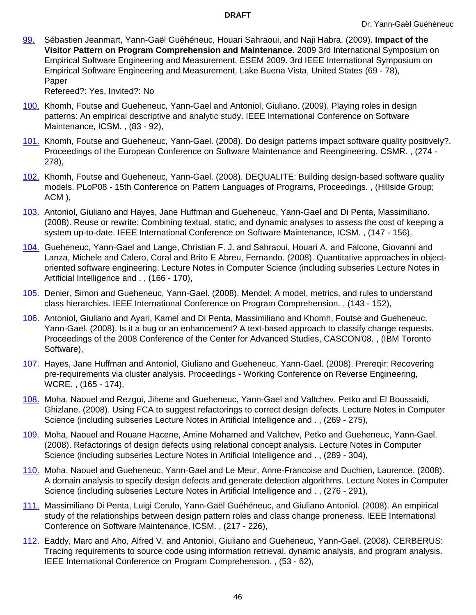[99.](http://dx.doi.org/10.1109/ESEM.2009.5316015) Sébastien Jeanmart, Yann-Gaël Guéhéneuc, Houari Sahraoui, and Naji Habra. (2009). **Impact of the Visitor Pattern on Program Comprehension and Maintenance**. 2009 3rd International Symposium on Empirical Software Engineering and Measurement, ESEM 2009. 3rd IEEE International Symposium on Empirical Software Engineering and Measurement, Lake Buena Vista, United States (69 - 78), Paper

Refereed?: Yes, Invited?: No

- [100.](http://dx.doi.org/10.1109/ICSM.2009.5306327) Khomh, Foutse and Gueheneuc, Yann-Gael and Antoniol, Giuliano. (2009). Playing roles in design patterns: An empirical descriptive and analytic study. IEEE International Conference on Software Maintenance, ICSM. , (83 - 92),
- [101.](http://dx.doi.org/10.1109/CSMR.2008.4493325) Khomh, Foutse and Gueheneuc, Yann-Gael. (2008). Do design patterns impact software quality positively?. Proceedings of the European Conference on Software Maintenance and Reengineering, CSMR. , (274 - 278),
- [102.](http://dx.doi.org/10.1145/1753196.1753199) Khomh, Foutse and Gueheneuc, Yann-Gael. (2008). DEQUALITE: Building design-based software quality models. PLoP08 - 15th Conference on Pattern Languages of Programs, Proceedings. , (Hillside Group; ACM ),
- [103.](http://dx.doi.org/10.1109/ICSM.2008.4658063) Antoniol, Giuliano and Hayes, Jane Huffman and Gueheneuc, Yann-Gael and Di Penta, Massimiliano. (2008). Reuse or rewrite: Combining textual, static, and dynamic analyses to assess the cost of keeping a system up-to-date. IEEE International Conference on Software Maintenance, ICSM. , (147 - 156),
- [104.](http://dx.doi.org/10.1007/978-3-540-78195-0_16) Gueheneuc, Yann-Gael and Lange, Christian F. J. and Sahraoui, Houari A. and Falcone, Giovanni and Lanza, Michele and Calero, Coral and Brito E Abreu, Fernando. (2008). Quantitative approaches in objectoriented software engineering. Lecture Notes in Computer Science (including subseries Lecture Notes in Artificial Intelligence and . , (166 - 170),
- [105.](http://dx.doi.org/10.1109/ICPC.2008.37) Denier, Simon and Gueheneuc, Yann-Gael. (2008). Mendel: A model, metrics, and rules to understand class hierarchies. IEEE International Conference on Program Comprehension. , (143 - 152),
- [106.](http://dx.doi.org/10.1145/1463788.1463819) Antoniol, Giuliano and Ayari, Kamel and Di Penta, Massimiliano and Khomh, Foutse and Gueheneuc, Yann-Gael. (2008). Is it a bug or an enhancement? A text-based approach to classify change requests. Proceedings of the 2008 Conference of the Center for Advanced Studies, CASCON'08. , (IBM Toronto Software),
- [107.](http://dx.doi.org/10.1109/WCRE.2008.36) Hayes, Jane Huffman and Antoniol, Giuliano and Gueheneuc, Yann-Gael. (2008). Prereqir: Recovering pre-requirements via cluster analysis. Proceedings - Working Conference on Reverse Engineering, WCRE. , (165 - 174),
- [108.](http://dx.doi.org/10.1007/978-3-540-78921-5_20) Moha, Naouel and Rezgui, Jihene and Gueheneuc, Yann-Gael and Valtchev, Petko and El Boussaidi, Ghizlane. (2008). Using FCA to suggest refactorings to correct design defects. Lecture Notes in Computer Science (including subseries Lecture Notes in Artificial Intelligence and . , (269 - 275),
- [109.](http://dx.doi.org/10.1007/978-3-540-78137-0_21) Moha, Naouel and Rouane Hacene, Amine Mohamed and Valtchev, Petko and Gueheneuc, Yann-Gael. (2008). Refactorings of design defects using relational concept analysis. Lecture Notes in Computer Science (including subseries Lecture Notes in Artificial Intelligence and . , (289 - 304),
- [110.](http://dx.doi.org/10.1007/978-3-540-78743-3_20) Moha, Naouel and Gueheneuc, Yann-Gael and Le Meur, Anne-Francoise and Duchien, Laurence. (2008). A domain analysis to specify design defects and generate detection algorithms. Lecture Notes in Computer Science (including subseries Lecture Notes in Artificial Intelligence and . , (276 - 291),
- [111.](http://dx.doi.org/10.1109/ICSM.2008.4658070) Massimiliano Di Penta, Luigi Cerulo, Yann-Gaël Guéhéneuc, and Giuliano Antoniol. (2008). An empirical study of the relationships between design pattern roles and class change proneness. IEEE International Conference on Software Maintenance, ICSM. , (217 - 226),
- [112.](http://dx.doi.org/10.1109/ICPC.2008.39) Eaddy, Marc and Aho, Alfred V. and Antoniol, Giuliano and Gueheneuc, Yann-Gael. (2008). CERBERUS: Tracing requirements to source code using information retrieval, dynamic analysis, and program analysis. IEEE International Conference on Program Comprehension. , (53 - 62),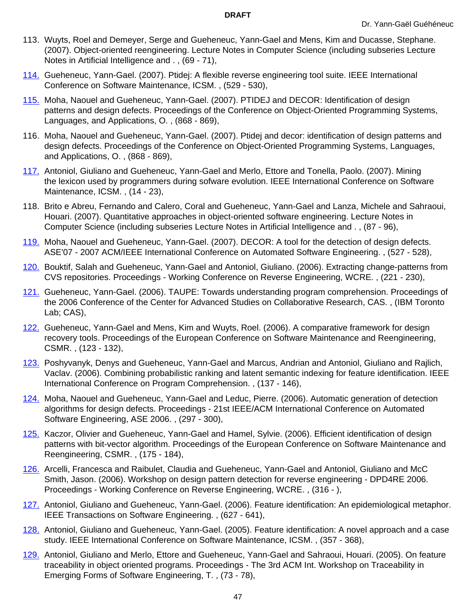- 113. Wuyts, Roel and Demeyer, Serge and Gueheneuc, Yann-Gael and Mens, Kim and Ducasse, Stephane. (2007). Object-oriented reengineering. Lecture Notes in Computer Science (including subseries Lecture Notes in Artificial Intelligence and . , (69 - 71),
- [114.](http://dx.doi.org/10.1109/ICSM.2007.4362684) Gueheneuc, Yann-Gael. (2007). Ptidej: A flexible reverse engineering tool suite. IEEE International Conference on Software Maintenance, ICSM. , (529 - 530),
- [115.](http://dx.doi.org/10.1145/1297846.1297930) Moha, Naouel and Gueheneuc, Yann-Gael. (2007). PTIDEJ and DECOR: Identification of design patterns and design defects. Proceedings of the Conference on Object-Oriented Programming Systems, Languages, and Applications, O. , (868 - 869),
- 116. Moha, Naouel and Gueheneuc, Yann-Gael. (2007). Ptidej and decor: identification of design patterns and design defects. Proceedings of the Conference on Object-Oriented Programming Systems, Languages, and Applications, O. , (868 - 869),
- [117.](http://dx.doi.org/10.1109/ICSM.2007.4362614) Antoniol, Giuliano and Gueheneuc, Yann-Gael and Merlo, Ettore and Tonella, Paolo. (2007). Mining the lexicon used by programmers during sofware evolution. IEEE International Conference on Software Maintenance, ICSM. , (14 - 23),
- 118. Brito e Abreu, Fernando and Calero, Coral and Gueheneuc, Yann-Gael and Lanza, Michele and Sahraoui, Houari. (2007). Quantitative approaches in object-oriented software engineering. Lecture Notes in Computer Science (including subseries Lecture Notes in Artificial Intelligence and . , (87 - 96),
- [119.](http://dx.doi.org/10.1145/1321631.1321727) Moha, Naouel and Gueheneuc, Yann-Gael. (2007). DECOR: A tool for the detection of design defects. ASE'07 - 2007 ACM/IEEE International Conference on Automated Software Engineering. , (527 - 528),
- [120.](http://dx.doi.org/10.1109/WCRE.2006.27) Bouktif, Salah and Gueheneuc, Yann-Gael and Antoniol, Giuliano. (2006). Extracting change-patterns from CVS repositories. Proceedings - Working Conference on Reverse Engineering, WCRE. , (221 - 230),
- [121.](http://dx.doi.org/10.1145/1188966.1188968) Gueheneuc, Yann-Gael. (2006). TAUPE: Towards understanding program comprehension. Proceedings of the 2006 Conference of the Center for Advanced Studies on Collaborative Research, CAS. , (IBM Toronto Lab; CAS),
- [122.](http://dx.doi.org/10.1109/CSMR.2006.1) Gueheneuc, Yann-Gael and Mens, Kim and Wuyts, Roel. (2006). A comparative framework for design recovery tools. Proceedings of the European Conference on Software Maintenance and Reengineering, CSMR. , (123 - 132),
- [123.](http://dx.doi.org/10.1109/ICPC.2006.17) Poshyvanyk, Denys and Gueheneuc, Yann-Gael and Marcus, Andrian and Antoniol, Giuliano and Rajlich, Vaclav. (2006). Combining probabilistic ranking and latent semantic indexing for feature identification. IEEE International Conference on Program Comprehension. , (137 - 146),
- [124.](http://dx.doi.org/10.1109/ASE.2006.22) Moha, Naouel and Gueheneuc, Yann-Gael and Leduc, Pierre. (2006). Automatic generation of detection algorithms for design defects. Proceedings - 21st IEEE/ACM International Conference on Automated Software Engineering, ASE 2006. , (297 - 300),
- [125.](http://dx.doi.org/10.1109/CSMR.2006.25) Kaczor, Olivier and Gueheneuc, Yann-Gael and Hamel, Sylvie. (2006). Efficient identification of design patterns with bit-vector algorithm. Proceedings of the European Conference on Software Maintenance and Reengineering, CSMR. , (175 - 184),
- [126.](http://dx.doi.org/10.1109/WCRE.2006.23) Arcelli, Francesca and Raibulet, Claudia and Gueheneuc, Yann-Gael and Antoniol, Giuliano and McC Smith, Jason. (2006). Workshop on design pattern detection for reverse engineering - DPD4RE 2006. Proceedings - Working Conference on Reverse Engineering, WCRE. , (316 - ),
- [127.](http://dx.doi.org/10.1109/TSE.2006.88) Antoniol, Giuliano and Gueheneuc, Yann-Gael. (2006). Feature identification: An epidemiological metaphor. IEEE Transactions on Software Engineering. , (627 - 641),
- [128.](http://dx.doi.org/10.1109/ICSM.2005.48) Antoniol, Giuliano and Gueheneuc, Yann-Gael. (2005). Feature identification: A novel approach and a case study. IEEE International Conference on Software Maintenance, ICSM. , (357 - 368),
- [129.](http://dx.doi.org/10.1145/1107656.1107672) Antoniol, Giuliano and Merlo, Ettore and Gueheneuc, Yann-Gael and Sahraoui, Houari. (2005). On feature traceability in object oriented programs. Proceedings - The 3rd ACM Int. Workshop on Traceability in Emerging Forms of Software Engineering, T. , (73 - 78),